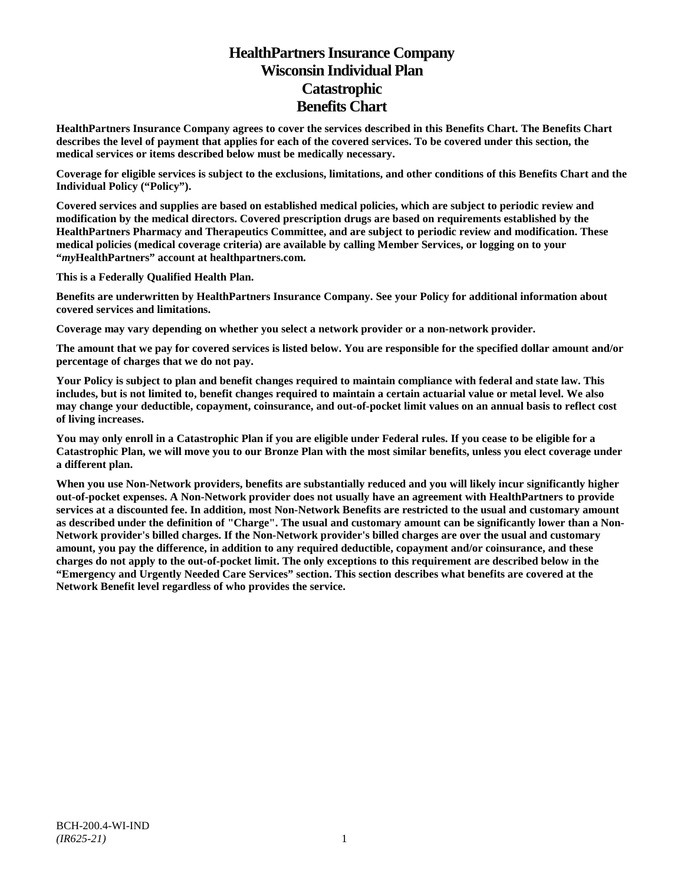# **HealthPartners Insurance Company Wisconsin Individual Plan Catastrophic Benefits Chart**

**HealthPartners Insurance Company agrees to cover the services described in this Benefits Chart. The Benefits Chart describes the level of payment that applies for each of the covered services. To be covered under this section, the medical services or items described below must be medically necessary.**

**Coverage for eligible services is subject to the exclusions, limitations, and other conditions of this Benefits Chart and the Individual Policy ("Policy").**

**Covered services and supplies are based on established medical policies, which are subject to periodic review and modification by the medical directors. Covered prescription drugs are based on requirements established by the HealthPartners Pharmacy and Therapeutics Committee, and are subject to periodic review and modification. These medical policies (medical coverage criteria) are available by calling Member Services, or logging on to your "***my***HealthPartners" account at [healthpartners.com.](http://www.healthpartners.com/)**

**This is a Federally Qualified Health Plan.**

**Benefits are underwritten by HealthPartners Insurance Company. See your Policy for additional information about covered services and limitations.**

**Coverage may vary depending on whether you select a network provider or a non-network provider.**

**The amount that we pay for covered services is listed below. You are responsible for the specified dollar amount and/or percentage of charges that we do not pay.**

**Your Policy is subject to plan and benefit changes required to maintain compliance with federal and state law. This includes, but is not limited to, benefit changes required to maintain a certain actuarial value or metal level. We also may change your deductible, copayment, coinsurance, and out-of-pocket limit values on an annual basis to reflect cost of living increases.**

**You may only enroll in a Catastrophic Plan if you are eligible under Federal rules. If you cease to be eligible for a Catastrophic Plan, we will move you to our Bronze Plan with the most similar benefits, unless you elect coverage under a different plan.**

**When you use Non-Network providers, benefits are substantially reduced and you will likely incur significantly higher out-of-pocket expenses. A Non-Network provider does not usually have an agreement with HealthPartners to provide services at a discounted fee. In addition, most Non-Network Benefits are restricted to the usual and customary amount as described under the definition of "Charge". The usual and customary amount can be significantly lower than a Non-Network provider's billed charges. If the Non-Network provider's billed charges are over the usual and customary amount, you pay the difference, in addition to any required deductible, copayment and/or coinsurance, and these charges do not apply to the out-of-pocket limit. The only exceptions to this requirement are described below in the "Emergency and Urgently Needed Care Services" section. This section describes what benefits are covered at the Network Benefit level regardless of who provides the service.**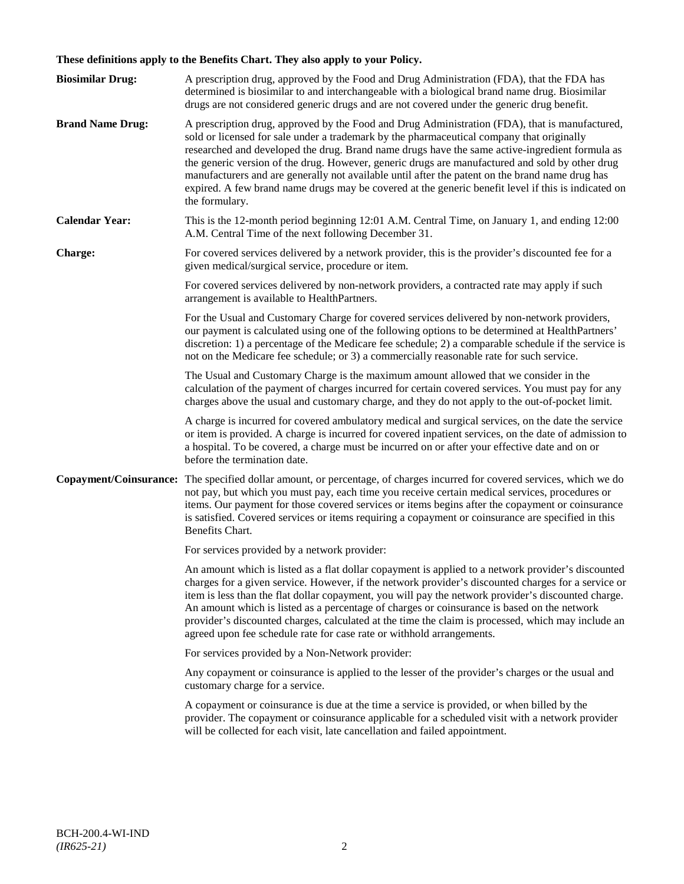## **These definitions apply to the Benefits Chart. They also apply to your Policy.**

| <b>Biosimilar Drug:</b> | A prescription drug, approved by the Food and Drug Administration (FDA), that the FDA has<br>determined is biosimilar to and interchangeable with a biological brand name drug. Biosimilar<br>drugs are not considered generic drugs and are not covered under the generic drug benefit.                                                                                                                                                                                                                                                                                                                                     |
|-------------------------|------------------------------------------------------------------------------------------------------------------------------------------------------------------------------------------------------------------------------------------------------------------------------------------------------------------------------------------------------------------------------------------------------------------------------------------------------------------------------------------------------------------------------------------------------------------------------------------------------------------------------|
| <b>Brand Name Drug:</b> | A prescription drug, approved by the Food and Drug Administration (FDA), that is manufactured,<br>sold or licensed for sale under a trademark by the pharmaceutical company that originally<br>researched and developed the drug. Brand name drugs have the same active-ingredient formula as<br>the generic version of the drug. However, generic drugs are manufactured and sold by other drug<br>manufacturers and are generally not available until after the patent on the brand name drug has<br>expired. A few brand name drugs may be covered at the generic benefit level if this is indicated on<br>the formulary. |
| <b>Calendar Year:</b>   | This is the 12-month period beginning 12:01 A.M. Central Time, on January 1, and ending 12:00<br>A.M. Central Time of the next following December 31.                                                                                                                                                                                                                                                                                                                                                                                                                                                                        |
| Charge:                 | For covered services delivered by a network provider, this is the provider's discounted fee for a<br>given medical/surgical service, procedure or item.                                                                                                                                                                                                                                                                                                                                                                                                                                                                      |
|                         | For covered services delivered by non-network providers, a contracted rate may apply if such<br>arrangement is available to HealthPartners.                                                                                                                                                                                                                                                                                                                                                                                                                                                                                  |
|                         | For the Usual and Customary Charge for covered services delivered by non-network providers,<br>our payment is calculated using one of the following options to be determined at HealthPartners'<br>discretion: 1) a percentage of the Medicare fee schedule; 2) a comparable schedule if the service is<br>not on the Medicare fee schedule; or 3) a commercially reasonable rate for such service.                                                                                                                                                                                                                          |
|                         | The Usual and Customary Charge is the maximum amount allowed that we consider in the<br>calculation of the payment of charges incurred for certain covered services. You must pay for any<br>charges above the usual and customary charge, and they do not apply to the out-of-pocket limit.                                                                                                                                                                                                                                                                                                                                 |
|                         | A charge is incurred for covered ambulatory medical and surgical services, on the date the service<br>or item is provided. A charge is incurred for covered inpatient services, on the date of admission to<br>a hospital. To be covered, a charge must be incurred on or after your effective date and on or<br>before the termination date.                                                                                                                                                                                                                                                                                |
| Copayment/Coinsurance:  | The specified dollar amount, or percentage, of charges incurred for covered services, which we do<br>not pay, but which you must pay, each time you receive certain medical services, procedures or<br>items. Our payment for those covered services or items begins after the copayment or coinsurance<br>is satisfied. Covered services or items requiring a copayment or coinsurance are specified in this<br>Benefits Chart.                                                                                                                                                                                             |
|                         | For services provided by a network provider:                                                                                                                                                                                                                                                                                                                                                                                                                                                                                                                                                                                 |
|                         | An amount which is listed as a flat dollar copayment is applied to a network provider's discounted<br>charges for a given service. However, if the network provider's discounted charges for a service or<br>item is less than the flat dollar copayment, you will pay the network provider's discounted charge.<br>An amount which is listed as a percentage of charges or coinsurance is based on the network<br>provider's discounted charges, calculated at the time the claim is processed, which may include an<br>agreed upon fee schedule rate for case rate or withhold arrangements.                               |
|                         | For services provided by a Non-Network provider:                                                                                                                                                                                                                                                                                                                                                                                                                                                                                                                                                                             |
|                         | Any copayment or coinsurance is applied to the lesser of the provider's charges or the usual and<br>customary charge for a service.                                                                                                                                                                                                                                                                                                                                                                                                                                                                                          |
|                         | A copayment or coinsurance is due at the time a service is provided, or when billed by the<br>provider. The copayment or coinsurance applicable for a scheduled visit with a network provider<br>will be collected for each visit, late cancellation and failed appointment.                                                                                                                                                                                                                                                                                                                                                 |
|                         |                                                                                                                                                                                                                                                                                                                                                                                                                                                                                                                                                                                                                              |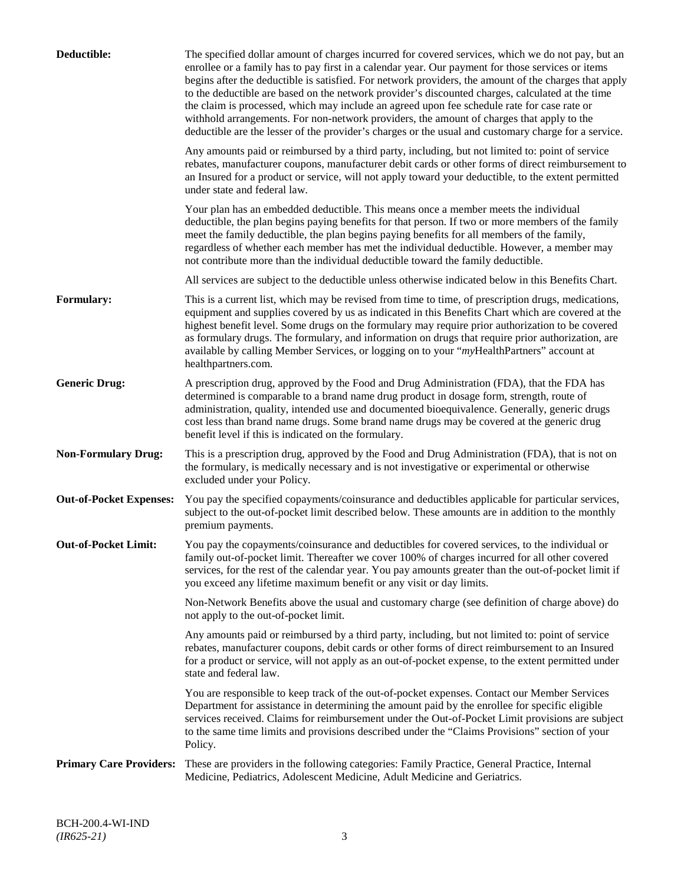| Deductible:                    | The specified dollar amount of charges incurred for covered services, which we do not pay, but an<br>enrollee or a family has to pay first in a calendar year. Our payment for those services or items<br>begins after the deductible is satisfied. For network providers, the amount of the charges that apply<br>to the deductible are based on the network provider's discounted charges, calculated at the time<br>the claim is processed, which may include an agreed upon fee schedule rate for case rate or<br>withhold arrangements. For non-network providers, the amount of charges that apply to the<br>deductible are the lesser of the provider's charges or the usual and customary charge for a service. |
|--------------------------------|-------------------------------------------------------------------------------------------------------------------------------------------------------------------------------------------------------------------------------------------------------------------------------------------------------------------------------------------------------------------------------------------------------------------------------------------------------------------------------------------------------------------------------------------------------------------------------------------------------------------------------------------------------------------------------------------------------------------------|
|                                | Any amounts paid or reimbursed by a third party, including, but not limited to: point of service<br>rebates, manufacturer coupons, manufacturer debit cards or other forms of direct reimbursement to<br>an Insured for a product or service, will not apply toward your deductible, to the extent permitted<br>under state and federal law.                                                                                                                                                                                                                                                                                                                                                                            |
|                                | Your plan has an embedded deductible. This means once a member meets the individual<br>deductible, the plan begins paying benefits for that person. If two or more members of the family<br>meet the family deductible, the plan begins paying benefits for all members of the family,<br>regardless of whether each member has met the individual deductible. However, a member may<br>not contribute more than the individual deductible toward the family deductible.                                                                                                                                                                                                                                                |
|                                | All services are subject to the deductible unless otherwise indicated below in this Benefits Chart.                                                                                                                                                                                                                                                                                                                                                                                                                                                                                                                                                                                                                     |
| <b>Formulary:</b>              | This is a current list, which may be revised from time to time, of prescription drugs, medications,<br>equipment and supplies covered by us as indicated in this Benefits Chart which are covered at the<br>highest benefit level. Some drugs on the formulary may require prior authorization to be covered<br>as formulary drugs. The formulary, and information on drugs that require prior authorization, are<br>available by calling Member Services, or logging on to your "myHealthPartners" account at<br>healthpartners.com.                                                                                                                                                                                   |
| <b>Generic Drug:</b>           | A prescription drug, approved by the Food and Drug Administration (FDA), that the FDA has<br>determined is comparable to a brand name drug product in dosage form, strength, route of<br>administration, quality, intended use and documented bioequivalence. Generally, generic drugs<br>cost less than brand name drugs. Some brand name drugs may be covered at the generic drug<br>benefit level if this is indicated on the formulary.                                                                                                                                                                                                                                                                             |
| <b>Non-Formulary Drug:</b>     | This is a prescription drug, approved by the Food and Drug Administration (FDA), that is not on<br>the formulary, is medically necessary and is not investigative or experimental or otherwise<br>excluded under your Policy.                                                                                                                                                                                                                                                                                                                                                                                                                                                                                           |
| <b>Out-of-Pocket Expenses:</b> | You pay the specified copayments/coinsurance and deductibles applicable for particular services,<br>subject to the out-of-pocket limit described below. These amounts are in addition to the monthly<br>premium payments.                                                                                                                                                                                                                                                                                                                                                                                                                                                                                               |
| <b>Out-of-Pocket Limit:</b>    | You pay the copayments/coinsurance and deductibles for covered services, to the individual or<br>family out-of-pocket limit. Thereafter we cover 100% of charges incurred for all other covered<br>services, for the rest of the calendar year. You pay amounts greater than the out-of-pocket limit if<br>you exceed any lifetime maximum benefit or any visit or day limits.                                                                                                                                                                                                                                                                                                                                          |
|                                | Non-Network Benefits above the usual and customary charge (see definition of charge above) do<br>not apply to the out-of-pocket limit.                                                                                                                                                                                                                                                                                                                                                                                                                                                                                                                                                                                  |
|                                | Any amounts paid or reimbursed by a third party, including, but not limited to: point of service<br>rebates, manufacturer coupons, debit cards or other forms of direct reimbursement to an Insured<br>for a product or service, will not apply as an out-of-pocket expense, to the extent permitted under<br>state and federal law.                                                                                                                                                                                                                                                                                                                                                                                    |
|                                | You are responsible to keep track of the out-of-pocket expenses. Contact our Member Services<br>Department for assistance in determining the amount paid by the enrollee for specific eligible<br>services received. Claims for reimbursement under the Out-of-Pocket Limit provisions are subject<br>to the same time limits and provisions described under the "Claims Provisions" section of your<br>Policy.                                                                                                                                                                                                                                                                                                         |
| <b>Primary Care Providers:</b> | These are providers in the following categories: Family Practice, General Practice, Internal<br>Medicine, Pediatrics, Adolescent Medicine, Adult Medicine and Geriatrics.                                                                                                                                                                                                                                                                                                                                                                                                                                                                                                                                               |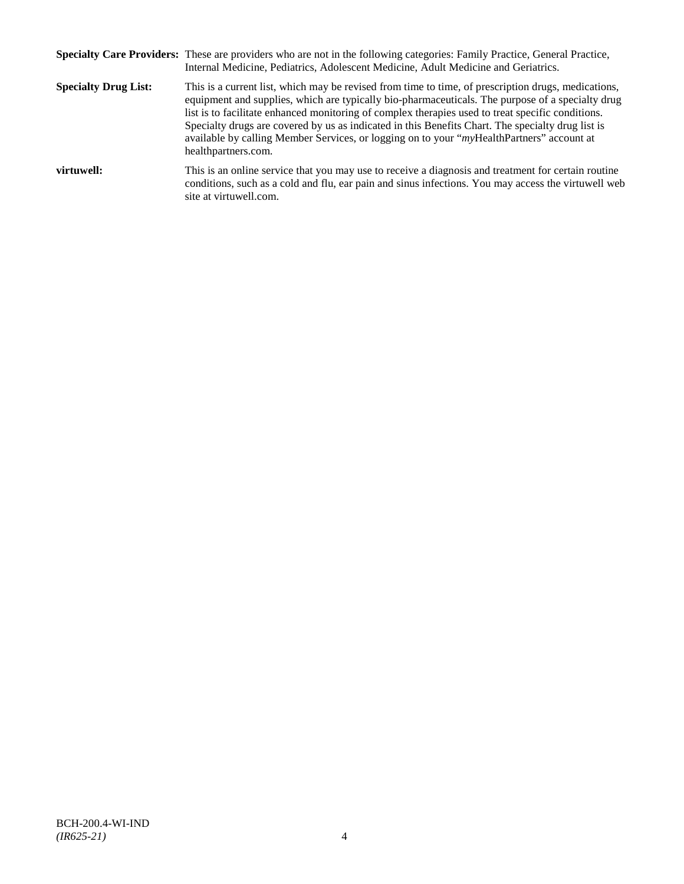|                             | Specialty Care Providers: These are providers who are not in the following categories: Family Practice, General Practice,<br>Internal Medicine, Pediatrics, Adolescent Medicine, Adult Medicine and Geriatrics.                                                                                                                                                                                                                                                                                                                       |
|-----------------------------|---------------------------------------------------------------------------------------------------------------------------------------------------------------------------------------------------------------------------------------------------------------------------------------------------------------------------------------------------------------------------------------------------------------------------------------------------------------------------------------------------------------------------------------|
| <b>Specialty Drug List:</b> | This is a current list, which may be revised from time to time, of prescription drugs, medications,<br>equipment and supplies, which are typically bio-pharmaceuticals. The purpose of a specialty drug<br>list is to facilitate enhanced monitoring of complex therapies used to treat specific conditions.<br>Specialty drugs are covered by us as indicated in this Benefits Chart. The specialty drug list is<br>available by calling Member Services, or logging on to your "myHealthPartners" account at<br>healthpartners.com. |
| virtuwell:                  | This is an online service that you may use to receive a diagnosis and treatment for certain routine<br>conditions, such as a cold and flu, ear pain and sinus infections. You may access the virtuwell web<br>site at virtuwell.com.                                                                                                                                                                                                                                                                                                  |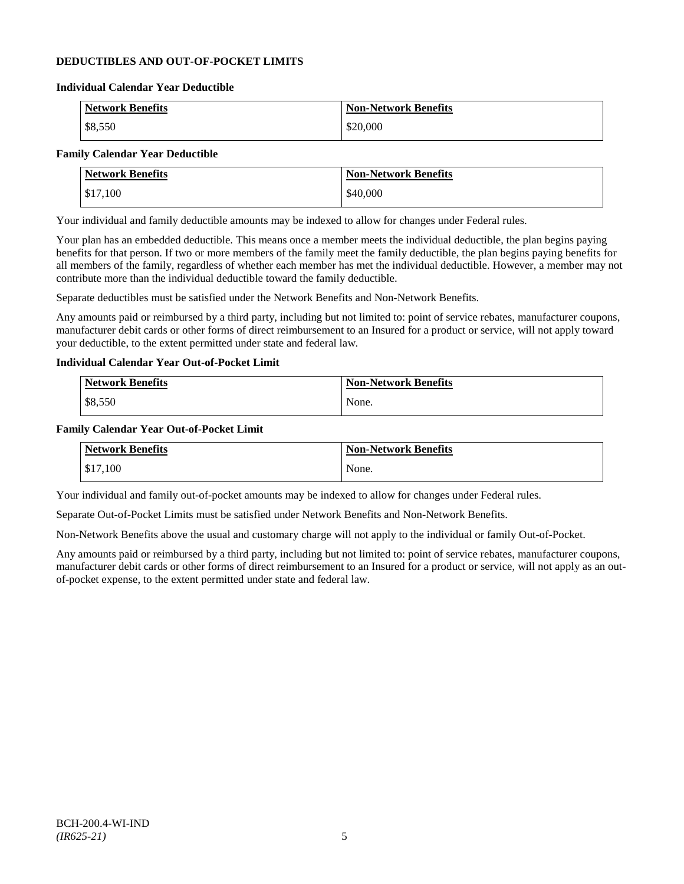## **DEDUCTIBLES AND OUT-OF-POCKET LIMITS**

#### **Individual Calendar Year Deductible**

| <b>Network Benefits</b> | <b>Non-Network Benefits</b> |
|-------------------------|-----------------------------|
| \$8,550                 | \$20,000                    |

## **Family Calendar Year Deductible**

| <b>Network Benefits</b> | <b>Non-Network Benefits</b> |
|-------------------------|-----------------------------|
| \$17,100                | \$40,000                    |

Your individual and family deductible amounts may be indexed to allow for changes under Federal rules.

Your plan has an embedded deductible. This means once a member meets the individual deductible, the plan begins paying benefits for that person. If two or more members of the family meet the family deductible, the plan begins paying benefits for all members of the family, regardless of whether each member has met the individual deductible. However, a member may not contribute more than the individual deductible toward the family deductible.

Separate deductibles must be satisfied under the Network Benefits and Non-Network Benefits.

Any amounts paid or reimbursed by a third party, including but not limited to: point of service rebates, manufacturer coupons, manufacturer debit cards or other forms of direct reimbursement to an Insured for a product or service, will not apply toward your deductible, to the extent permitted under state and federal law.

## **Individual Calendar Year Out-of-Pocket Limit**

| Network Benefits | <b>Non-Network Benefits</b> |
|------------------|-----------------------------|
| \$8,550          | None.                       |

#### **Family Calendar Year Out-of-Pocket Limit**

| <b>Network Benefits</b> | <b>Non-Network Benefits</b> |
|-------------------------|-----------------------------|
| \$17,100                | None.                       |

Your individual and family out-of-pocket amounts may be indexed to allow for changes under Federal rules.

Separate Out-of-Pocket Limits must be satisfied under Network Benefits and Non-Network Benefits.

Non-Network Benefits above the usual and customary charge will not apply to the individual or family Out-of-Pocket.

Any amounts paid or reimbursed by a third party, including but not limited to: point of service rebates, manufacturer coupons, manufacturer debit cards or other forms of direct reimbursement to an Insured for a product or service, will not apply as an outof-pocket expense, to the extent permitted under state and federal law.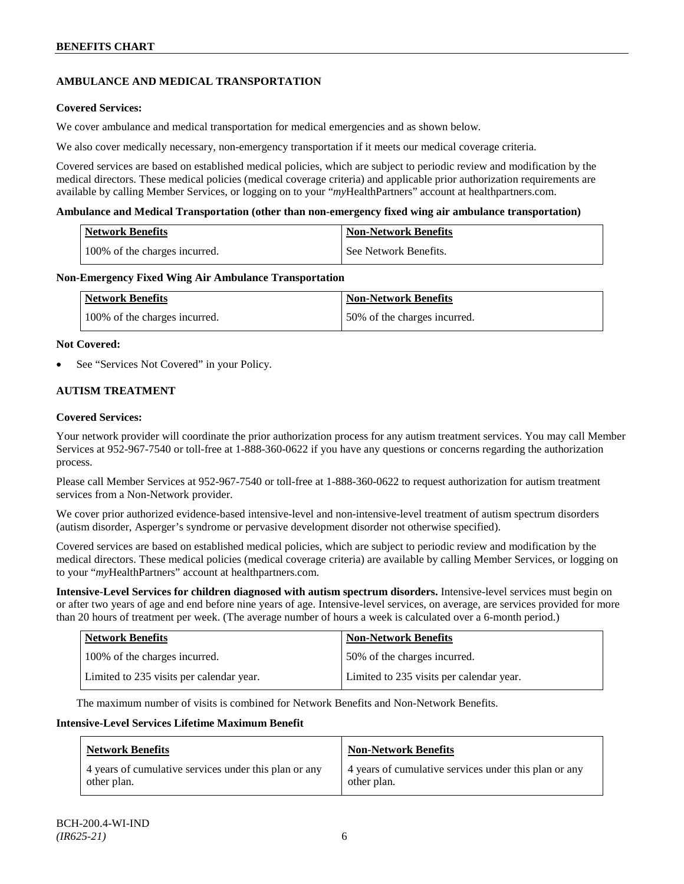## **AMBULANCE AND MEDICAL TRANSPORTATION**

## **Covered Services:**

We cover ambulance and medical transportation for medical emergencies and as shown below.

We also cover medically necessary, non-emergency transportation if it meets our medical coverage criteria.

Covered services are based on established medical policies, which are subject to periodic review and modification by the medical directors. These medical policies (medical coverage criteria) and applicable prior authorization requirements are available by calling Member Services, or logging on to your "*my*HealthPartners" account a[t healthpartners.com.](http://www.healthpartners.com/)

#### **Ambulance and Medical Transportation (other than non-emergency fixed wing air ambulance transportation)**

| <b>Network Benefits</b> |                               | Non-Network Benefits  |
|-------------------------|-------------------------------|-----------------------|
|                         | 100% of the charges incurred. | See Network Benefits. |

#### **Non-Emergency Fixed Wing Air Ambulance Transportation**

| Network Benefits              | <b>Non-Network Benefits</b>  |
|-------------------------------|------------------------------|
| 100% of the charges incurred. | 50% of the charges incurred. |

#### **Not Covered:**

See "Services Not Covered" in your Policy.

## **AUTISM TREATMENT**

#### **Covered Services:**

Your network provider will coordinate the prior authorization process for any autism treatment services. You may call Member Services at 952-967-7540 or toll-free at 1-888-360-0622 if you have any questions or concerns regarding the authorization process.

Please call Member Services at 952-967-7540 or toll-free at 1-888-360-0622 to request authorization for autism treatment services from a Non-Network provider.

We cover prior authorized evidence-based intensive-level and non-intensive-level treatment of autism spectrum disorders (autism disorder, Asperger's syndrome or pervasive development disorder not otherwise specified).

Covered services are based on established medical policies, which are subject to periodic review and modification by the medical directors. These medical policies (medical coverage criteria) are available by calling Member Services, or logging on to your "*my*HealthPartners" account at [healthpartners.com.](http://www.healthpartners.com/)

**Intensive-Level Services for children diagnosed with autism spectrum disorders.** Intensive-level services must begin on or after two years of age and end before nine years of age. Intensive-level services, on average, are services provided for more than 20 hours of treatment per week. (The average number of hours a week is calculated over a 6-month period.)

| <b>Network Benefits</b>                  | <b>Non-Network Benefits</b>              |
|------------------------------------------|------------------------------------------|
| 100% of the charges incurred.            | 50% of the charges incurred.             |
| Limited to 235 visits per calendar year. | Limited to 235 visits per calendar year. |

The maximum number of visits is combined for Network Benefits and Non-Network Benefits.

#### **Intensive-Level Services Lifetime Maximum Benefit**

| <b>Network Benefits</b>                               | <b>Non-Network Benefits</b>                           |
|-------------------------------------------------------|-------------------------------------------------------|
| 4 years of cumulative services under this plan or any | 4 years of cumulative services under this plan or any |
| other plan.                                           | other plan.                                           |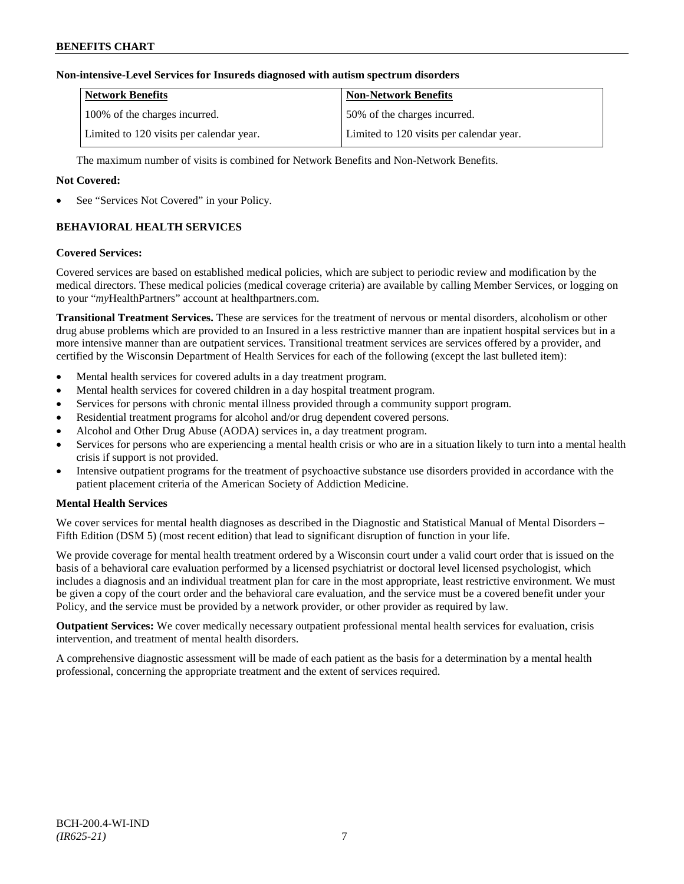## **Non-intensive-Level Services for Insureds diagnosed with autism spectrum disorders**

| Network Benefits                         | <b>Non-Network Benefits</b>              |
|------------------------------------------|------------------------------------------|
| 100% of the charges incurred.            | 50% of the charges incurred.             |
| Limited to 120 visits per calendar year. | Limited to 120 visits per calendar year. |

The maximum number of visits is combined for Network Benefits and Non-Network Benefits.

## **Not Covered:**

See "Services Not Covered" in your Policy.

## **BEHAVIORAL HEALTH SERVICES**

### **Covered Services:**

Covered services are based on established medical policies, which are subject to periodic review and modification by the medical directors. These medical policies (medical coverage criteria) are available by calling Member Services, or logging on to your "*my*HealthPartners" account at [healthpartners.com.](http://www.healthpartners.com/)

**Transitional Treatment Services.** These are services for the treatment of nervous or mental disorders, alcoholism or other drug abuse problems which are provided to an Insured in a less restrictive manner than are inpatient hospital services but in a more intensive manner than are outpatient services. Transitional treatment services are services offered by a provider, and certified by the Wisconsin Department of Health Services for each of the following (except the last bulleted item):

- Mental health services for covered adults in a day treatment program.
- Mental health services for covered children in a day hospital treatment program.
- Services for persons with chronic mental illness provided through a community support program.
- Residential treatment programs for alcohol and/or drug dependent covered persons.
- Alcohol and Other Drug Abuse (AODA) services in, a day treatment program.
- Services for persons who are experiencing a mental health crisis or who are in a situation likely to turn into a mental health crisis if support is not provided.
- Intensive outpatient programs for the treatment of psychoactive substance use disorders provided in accordance with the patient placement criteria of the American Society of Addiction Medicine.

## **Mental Health Services**

We cover services for mental health diagnoses as described in the Diagnostic and Statistical Manual of Mental Disorders – Fifth Edition (DSM 5) (most recent edition) that lead to significant disruption of function in your life.

We provide coverage for mental health treatment ordered by a Wisconsin court under a valid court order that is issued on the basis of a behavioral care evaluation performed by a licensed psychiatrist or doctoral level licensed psychologist, which includes a diagnosis and an individual treatment plan for care in the most appropriate, least restrictive environment. We must be given a copy of the court order and the behavioral care evaluation, and the service must be a covered benefit under your Policy, and the service must be provided by a network provider, or other provider as required by law.

**Outpatient Services:** We cover medically necessary outpatient professional mental health services for evaluation, crisis intervention, and treatment of mental health disorders.

A comprehensive diagnostic assessment will be made of each patient as the basis for a determination by a mental health professional, concerning the appropriate treatment and the extent of services required.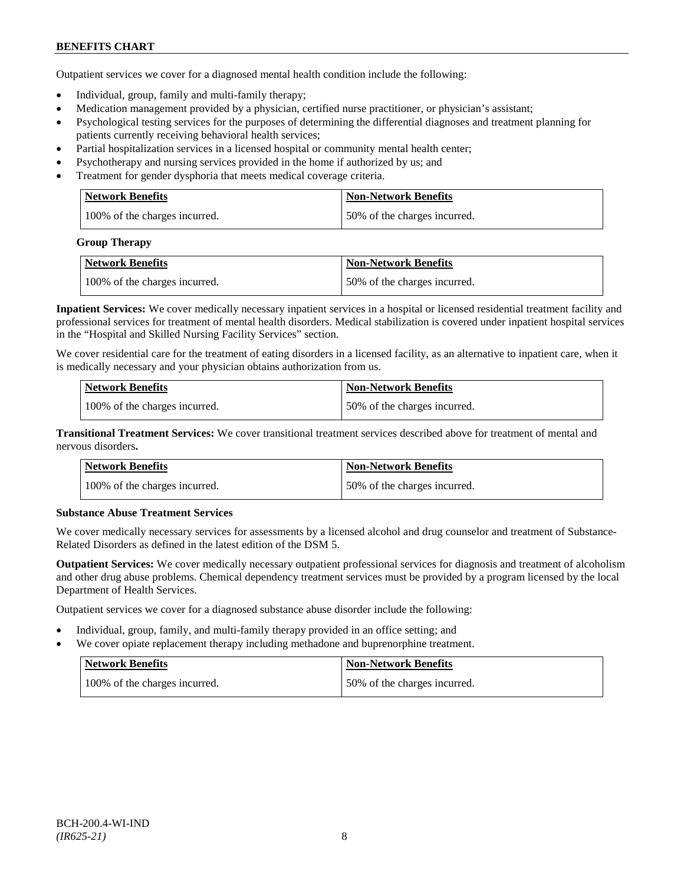Outpatient services we cover for a diagnosed mental health condition include the following:

- Individual, group, family and multi-family therapy;
- Medication management provided by a physician, certified nurse practitioner, or physician's assistant;
- Psychological testing services for the purposes of determining the differential diagnoses and treatment planning for patients currently receiving behavioral health services;
- Partial hospitalization services in a licensed hospital or community mental health center;
- Psychotherapy and nursing services provided in the home if authorized by us; and
- Treatment for gender dysphoria that meets medical coverage criteria.

| Network Benefits              | <b>Non-Network Benefits</b>  |
|-------------------------------|------------------------------|
| 100% of the charges incurred. | 50% of the charges incurred. |

#### **Group Therapy**

| Network Benefits              | Non-Network Benefits         |
|-------------------------------|------------------------------|
| 100% of the charges incurred. | 50% of the charges incurred. |

**Inpatient Services:** We cover medically necessary inpatient services in a hospital or licensed residential treatment facility and professional services for treatment of mental health disorders. Medical stabilization is covered under inpatient hospital services in the "Hospital and Skilled Nursing Facility Services" section.

We cover residential care for the treatment of eating disorders in a licensed facility, as an alternative to inpatient care, when it is medically necessary and your physician obtains authorization from us.

| <b>Network Benefits</b>       | <b>Non-Network Benefits</b>  |
|-------------------------------|------------------------------|
| 100% of the charges incurred. | 50% of the charges incurred. |

**Transitional Treatment Services:** We cover transitional treatment services described above for treatment of mental and nervous disorders**.**

| <b>Network Benefits</b>       | <b>Non-Network Benefits</b>   |
|-------------------------------|-------------------------------|
| 100% of the charges incurred. | 150% of the charges incurred. |

## **Substance Abuse Treatment Services**

We cover medically necessary services for assessments by a licensed alcohol and drug counselor and treatment of Substance-Related Disorders as defined in the latest edition of the DSM 5.

**Outpatient Services:** We cover medically necessary outpatient professional services for diagnosis and treatment of alcoholism and other drug abuse problems. Chemical dependency treatment services must be provided by a program licensed by the local Department of Health Services.

Outpatient services we cover for a diagnosed substance abuse disorder include the following:

- Individual, group, family, and multi-family therapy provided in an office setting; and
- We cover opiate replacement therapy including methadone and buprenorphine treatment.

| Network Benefits              | Non-Network Benefits         |
|-------------------------------|------------------------------|
| 100% of the charges incurred. | 50% of the charges incurred. |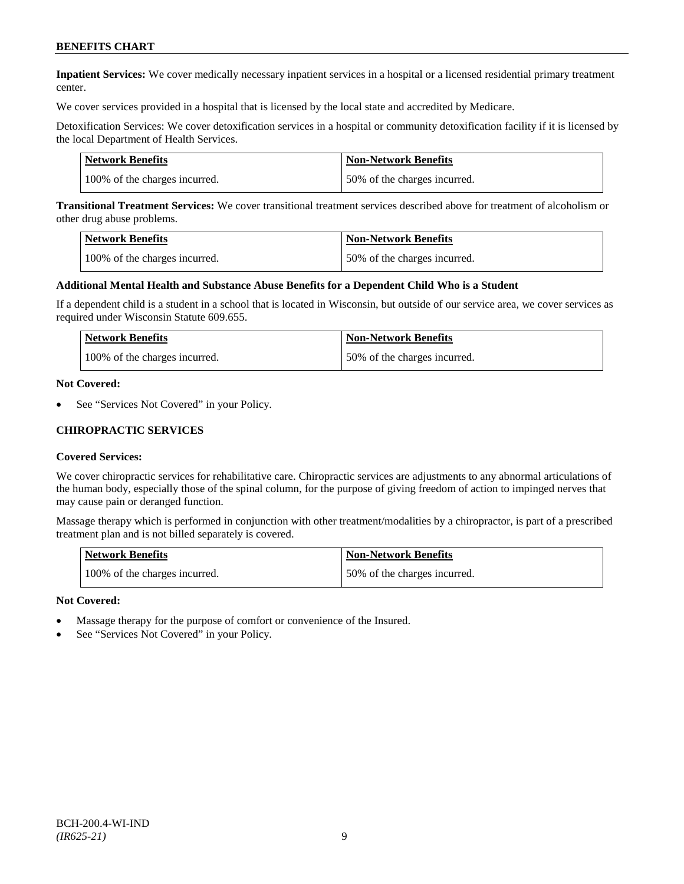**Inpatient Services:** We cover medically necessary inpatient services in a hospital or a licensed residential primary treatment center.

We cover services provided in a hospital that is licensed by the local state and accredited by Medicare.

Detoxification Services: We cover detoxification services in a hospital or community detoxification facility if it is licensed by the local Department of Health Services.

| <b>Network Benefits</b>       | <b>Non-Network Benefits</b>  |
|-------------------------------|------------------------------|
| 100% of the charges incurred. | 50% of the charges incurred. |

**Transitional Treatment Services:** We cover transitional treatment services described above for treatment of alcoholism or other drug abuse problems.

| <b>Network Benefits</b>       | <b>Non-Network Benefits</b>  |
|-------------------------------|------------------------------|
| 100% of the charges incurred. | 50% of the charges incurred. |

#### **Additional Mental Health and Substance Abuse Benefits for a Dependent Child Who is a Student**

If a dependent child is a student in a school that is located in Wisconsin, but outside of our service area, we cover services as required under Wisconsin Statute 609.655.

| <b>Network Benefits</b>       | <b>Non-Network Benefits</b>  |
|-------------------------------|------------------------------|
| 100% of the charges incurred. | 50% of the charges incurred. |

#### **Not Covered:**

See "Services Not Covered" in your Policy.

#### **CHIROPRACTIC SERVICES**

#### **Covered Services:**

We cover chiropractic services for rehabilitative care. Chiropractic services are adjustments to any abnormal articulations of the human body, especially those of the spinal column, for the purpose of giving freedom of action to impinged nerves that may cause pain or deranged function.

Massage therapy which is performed in conjunction with other treatment/modalities by a chiropractor, is part of a prescribed treatment plan and is not billed separately is covered.

| <b>Network Benefits</b>       | <b>Non-Network Benefits</b>  |
|-------------------------------|------------------------------|
| 100% of the charges incurred. | 50% of the charges incurred. |

#### **Not Covered:**

- Massage therapy for the purpose of comfort or convenience of the Insured.
- See "Services Not Covered" in your Policy.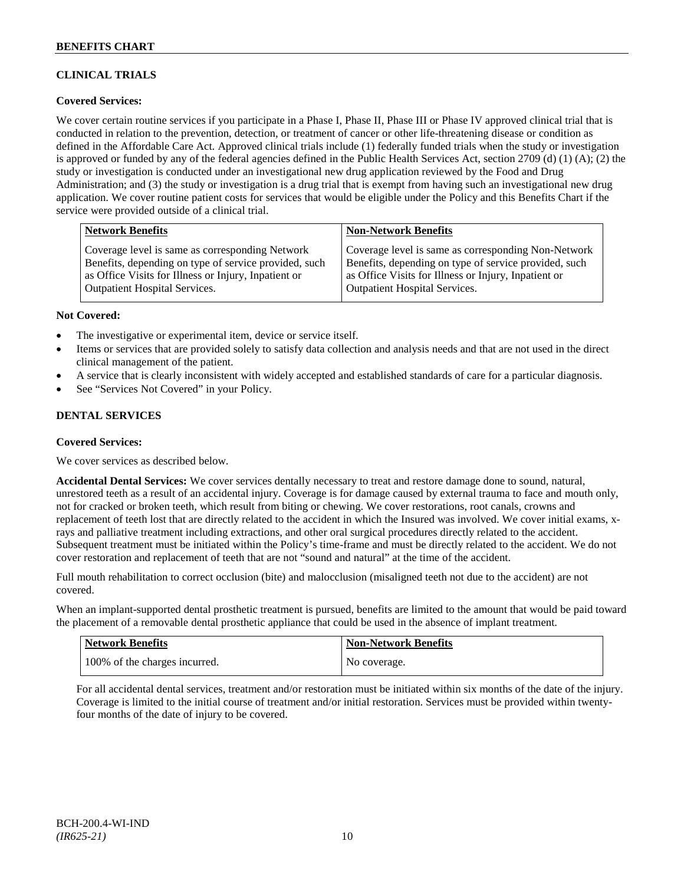## **CLINICAL TRIALS**

## **Covered Services:**

We cover certain routine services if you participate in a Phase I, Phase II, Phase III or Phase IV approved clinical trial that is conducted in relation to the prevention, detection, or treatment of cancer or other life-threatening disease or condition as defined in the Affordable Care Act. Approved clinical trials include (1) federally funded trials when the study or investigation is approved or funded by any of the federal agencies defined in the Public Health Services Act, section 2709 (d) (1) (A); (2) the study or investigation is conducted under an investigational new drug application reviewed by the Food and Drug Administration; and (3) the study or investigation is a drug trial that is exempt from having such an investigational new drug application. We cover routine patient costs for services that would be eligible under the Policy and this Benefits Chart if the service were provided outside of a clinical trial.

| <b>Network Benefits</b>                               | <b>Non-Network Benefits</b>                           |
|-------------------------------------------------------|-------------------------------------------------------|
| Coverage level is same as corresponding Network       | Coverage level is same as corresponding Non-Network   |
| Benefits, depending on type of service provided, such | Benefits, depending on type of service provided, such |
| as Office Visits for Illness or Injury, Inpatient or  | as Office Visits for Illness or Injury, Inpatient or  |
| <b>Outpatient Hospital Services.</b>                  | <b>Outpatient Hospital Services.</b>                  |

#### **Not Covered:**

- The investigative or experimental item, device or service itself.
- Items or services that are provided solely to satisfy data collection and analysis needs and that are not used in the direct clinical management of the patient.
- A service that is clearly inconsistent with widely accepted and established standards of care for a particular diagnosis.
- See "Services Not Covered" in your Policy.

## **DENTAL SERVICES**

#### **Covered Services:**

We cover services as described below.

**Accidental Dental Services:** We cover services dentally necessary to treat and restore damage done to sound, natural, unrestored teeth as a result of an accidental injury. Coverage is for damage caused by external trauma to face and mouth only, not for cracked or broken teeth, which result from biting or chewing. We cover restorations, root canals, crowns and replacement of teeth lost that are directly related to the accident in which the Insured was involved. We cover initial exams, xrays and palliative treatment including extractions, and other oral surgical procedures directly related to the accident. Subsequent treatment must be initiated within the Policy's time-frame and must be directly related to the accident. We do not cover restoration and replacement of teeth that are not "sound and natural" at the time of the accident.

Full mouth rehabilitation to correct occlusion (bite) and malocclusion (misaligned teeth not due to the accident) are not covered.

When an implant-supported dental prosthetic treatment is pursued, benefits are limited to the amount that would be paid toward the placement of a removable dental prosthetic appliance that could be used in the absence of implant treatment.

| <b>Network Benefits</b>       | <b>Non-Network Benefits</b> |
|-------------------------------|-----------------------------|
| 100% of the charges incurred. | No coverage.                |

For all accidental dental services, treatment and/or restoration must be initiated within six months of the date of the injury. Coverage is limited to the initial course of treatment and/or initial restoration. Services must be provided within twentyfour months of the date of injury to be covered.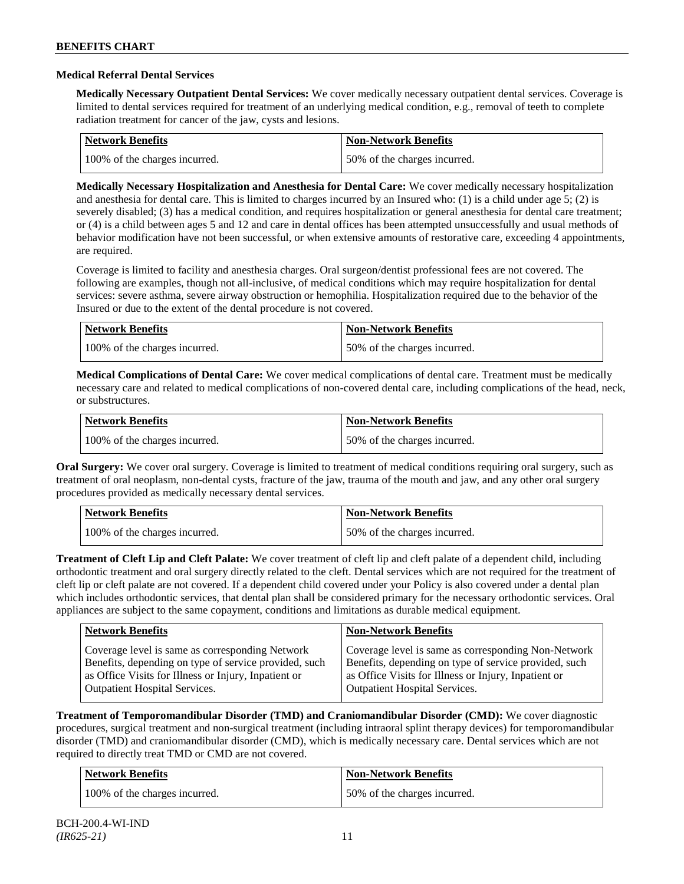### **Medical Referral Dental Services**

**Medically Necessary Outpatient Dental Services:** We cover medically necessary outpatient dental services. Coverage is limited to dental services required for treatment of an underlying medical condition, e.g., removal of teeth to complete radiation treatment for cancer of the jaw, cysts and lesions.

| <b>Network Benefits</b>       | <b>Non-Network Benefits</b>  |
|-------------------------------|------------------------------|
| 100% of the charges incurred. | 50% of the charges incurred. |

**Medically Necessary Hospitalization and Anesthesia for Dental Care:** We cover medically necessary hospitalization and anesthesia for dental care. This is limited to charges incurred by an Insured who: (1) is a child under age 5; (2) is severely disabled; (3) has a medical condition, and requires hospitalization or general anesthesia for dental care treatment; or (4) is a child between ages 5 and 12 and care in dental offices has been attempted unsuccessfully and usual methods of behavior modification have not been successful, or when extensive amounts of restorative care, exceeding 4 appointments, are required.

Coverage is limited to facility and anesthesia charges. Oral surgeon/dentist professional fees are not covered. The following are examples, though not all-inclusive, of medical conditions which may require hospitalization for dental services: severe asthma, severe airway obstruction or hemophilia. Hospitalization required due to the behavior of the Insured or due to the extent of the dental procedure is not covered.

| Network Benefits              | <b>Non-Network Benefits</b>  |
|-------------------------------|------------------------------|
| 100% of the charges incurred. | 50% of the charges incurred. |

**Medical Complications of Dental Care:** We cover medical complications of dental care. Treatment must be medically necessary care and related to medical complications of non-covered dental care, including complications of the head, neck, or substructures.

| Network Benefits              | <b>Non-Network Benefits</b>  |
|-------------------------------|------------------------------|
| 100% of the charges incurred. | 50% of the charges incurred. |

**Oral Surgery:** We cover oral surgery. Coverage is limited to treatment of medical conditions requiring oral surgery, such as treatment of oral neoplasm, non-dental cysts, fracture of the jaw, trauma of the mouth and jaw, and any other oral surgery procedures provided as medically necessary dental services.

| Network Benefits              | <b>Non-Network Benefits</b>  |
|-------------------------------|------------------------------|
| 100% of the charges incurred. | 50% of the charges incurred. |

**Treatment of Cleft Lip and Cleft Palate:** We cover treatment of cleft lip and cleft palate of a dependent child, including orthodontic treatment and oral surgery directly related to the cleft. Dental services which are not required for the treatment of cleft lip or cleft palate are not covered. If a dependent child covered under your Policy is also covered under a dental plan which includes orthodontic services, that dental plan shall be considered primary for the necessary orthodontic services. Oral appliances are subject to the same copayment, conditions and limitations as durable medical equipment.

| <b>Network Benefits</b>                               | <b>Non-Network Benefits</b>                           |
|-------------------------------------------------------|-------------------------------------------------------|
| Coverage level is same as corresponding Network       | Coverage level is same as corresponding Non-Network   |
| Benefits, depending on type of service provided, such | Benefits, depending on type of service provided, such |
| as Office Visits for Illness or Injury, Inpatient or  | as Office Visits for Illness or Injury, Inpatient or  |
| <b>Outpatient Hospital Services.</b>                  | <b>Outpatient Hospital Services.</b>                  |

**Treatment of Temporomandibular Disorder (TMD) and Craniomandibular Disorder (CMD):** We cover diagnostic procedures, surgical treatment and non-surgical treatment (including intraoral splint therapy devices) for temporomandibular disorder (TMD) and craniomandibular disorder (CMD), which is medically necessary care. Dental services which are not required to directly treat TMD or CMD are not covered.

| <b>Network Benefits</b>       | <b>Non-Network Benefits</b>  |
|-------------------------------|------------------------------|
| 100% of the charges incurred. | 50% of the charges incurred. |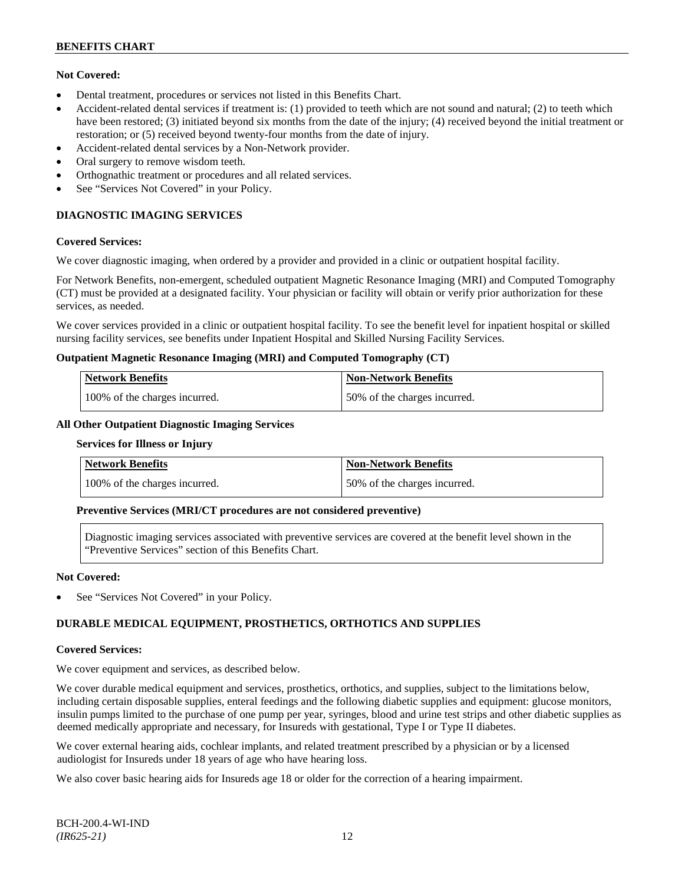## **Not Covered:**

- Dental treatment, procedures or services not listed in this Benefits Chart.
- Accident-related dental services if treatment is: (1) provided to teeth which are not sound and natural; (2) to teeth which have been restored; (3) initiated beyond six months from the date of the injury; (4) received beyond the initial treatment or restoration; or (5) received beyond twenty-four months from the date of injury.
- Accident-related dental services by a Non-Network provider.
- Oral surgery to remove wisdom teeth.
- Orthognathic treatment or procedures and all related services.
- See "Services Not Covered" in your Policy.

## **DIAGNOSTIC IMAGING SERVICES**

#### **Covered Services:**

We cover diagnostic imaging, when ordered by a provider and provided in a clinic or outpatient hospital facility.

For Network Benefits, non-emergent, scheduled outpatient Magnetic Resonance Imaging (MRI) and Computed Tomography (CT) must be provided at a designated facility. Your physician or facility will obtain or verify prior authorization for these services, as needed.

We cover services provided in a clinic or outpatient hospital facility. To see the benefit level for inpatient hospital or skilled nursing facility services, see benefits under Inpatient Hospital and Skilled Nursing Facility Services.

#### **Outpatient Magnetic Resonance Imaging (MRI) and Computed Tomography (CT)**

| <b>Network Benefits</b>       | <b>Non-Network Benefits</b>   |
|-------------------------------|-------------------------------|
| 100% of the charges incurred. | 150% of the charges incurred. |

### **All Other Outpatient Diagnostic Imaging Services**

#### **Services for Illness or Injury**

| Network Benefits              | Non-Network Benefits         |
|-------------------------------|------------------------------|
| 100% of the charges incurred. | 50% of the charges incurred. |

## **Preventive Services (MRI/CT procedures are not considered preventive)**

Diagnostic imaging services associated with preventive services are covered at the benefit level shown in the "Preventive Services" section of this Benefits Chart.

#### **Not Covered:**

See "Services Not Covered" in your Policy.

## **DURABLE MEDICAL EQUIPMENT, PROSTHETICS, ORTHOTICS AND SUPPLIES**

#### **Covered Services:**

We cover equipment and services, as described below.

We cover durable medical equipment and services, prosthetics, orthotics, and supplies, subject to the limitations below, including certain disposable supplies, enteral feedings and the following diabetic supplies and equipment: glucose monitors, insulin pumps limited to the purchase of one pump per year, syringes, blood and urine test strips and other diabetic supplies as deemed medically appropriate and necessary, for Insureds with gestational, Type I or Type II diabetes.

We cover external hearing aids, cochlear implants, and related treatment prescribed by a physician or by a licensed audiologist for Insureds under 18 years of age who have hearing loss.

We also cover basic hearing aids for Insureds age 18 or older for the correction of a hearing impairment.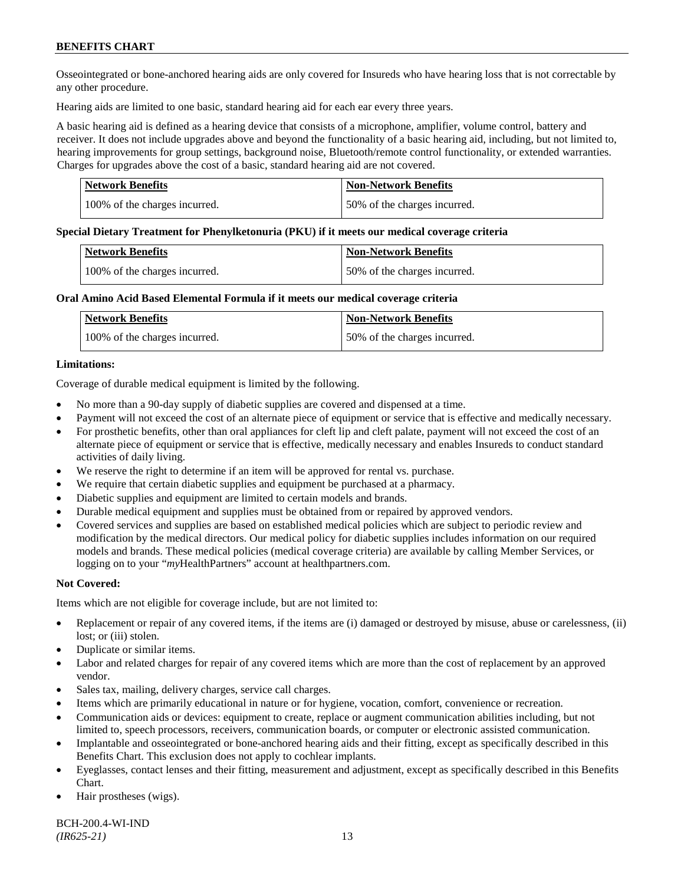Osseointegrated or bone-anchored hearing aids are only covered for Insureds who have hearing loss that is not correctable by any other procedure.

Hearing aids are limited to one basic, standard hearing aid for each ear every three years.

A basic hearing aid is defined as a hearing device that consists of a microphone, amplifier, volume control, battery and receiver. It does not include upgrades above and beyond the functionality of a basic hearing aid, including, but not limited to, hearing improvements for group settings, background noise, Bluetooth/remote control functionality, or extended warranties. Charges for upgrades above the cost of a basic, standard hearing aid are not covered.

| <b>Network Benefits</b>       | <b>Non-Network Benefits</b>  |
|-------------------------------|------------------------------|
| 100% of the charges incurred. | 50% of the charges incurred. |

#### **Special Dietary Treatment for Phenylketonuria (PKU) if it meets our medical coverage criteria**

| <b>Network Benefits</b>       | <b>Non-Network Benefits</b>  |
|-------------------------------|------------------------------|
| 100% of the charges incurred. | 50% of the charges incurred. |

#### **Oral Amino Acid Based Elemental Formula if it meets our medical coverage criteria**

| Network Benefits              | <b>Non-Network Benefits</b>  |
|-------------------------------|------------------------------|
| 100% of the charges incurred. | 50% of the charges incurred. |

#### **Limitations:**

Coverage of durable medical equipment is limited by the following.

- No more than a 90-day supply of diabetic supplies are covered and dispensed at a time.
- Payment will not exceed the cost of an alternate piece of equipment or service that is effective and medically necessary.
- For prosthetic benefits, other than oral appliances for cleft lip and cleft palate, payment will not exceed the cost of an alternate piece of equipment or service that is effective, medically necessary and enables Insureds to conduct standard activities of daily living.
- We reserve the right to determine if an item will be approved for rental vs. purchase.
- We require that certain diabetic supplies and equipment be purchased at a pharmacy.
- Diabetic supplies and equipment are limited to certain models and brands.
- Durable medical equipment and supplies must be obtained from or repaired by approved vendors.
- Covered services and supplies are based on established medical policies which are subject to periodic review and modification by the medical directors. Our medical policy for diabetic supplies includes information on our required models and brands. These medical policies (medical coverage criteria) are available by calling Member Services, or logging on to your "*my*HealthPartners" account at [healthpartners.com.](http://www.healthpartners.com/)

## **Not Covered:**

Items which are not eligible for coverage include, but are not limited to:

- Replacement or repair of any covered items, if the items are (i) damaged or destroyed by misuse, abuse or carelessness, (ii) lost; or (iii) stolen.
- Duplicate or similar items.
- Labor and related charges for repair of any covered items which are more than the cost of replacement by an approved vendor.
- Sales tax, mailing, delivery charges, service call charges.
- Items which are primarily educational in nature or for hygiene, vocation, comfort, convenience or recreation.
- Communication aids or devices: equipment to create, replace or augment communication abilities including, but not limited to, speech processors, receivers, communication boards, or computer or electronic assisted communication.
- Implantable and osseointegrated or bone-anchored hearing aids and their fitting, except as specifically described in this Benefits Chart. This exclusion does not apply to cochlear implants.
- Eyeglasses, contact lenses and their fitting, measurement and adjustment, except as specifically described in this Benefits Chart.
- Hair prostheses (wigs).

BCH-200.4-WI-IND *(IR625-21)* 13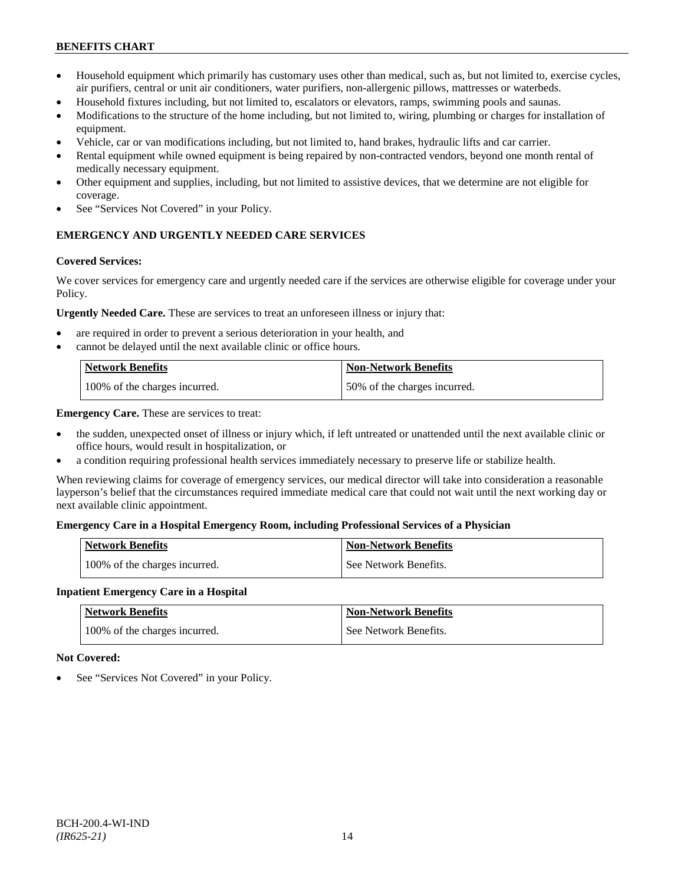- Household equipment which primarily has customary uses other than medical, such as, but not limited to, exercise cycles, air purifiers, central or unit air conditioners, water purifiers, non-allergenic pillows, mattresses or waterbeds.
- Household fixtures including, but not limited to, escalators or elevators, ramps, swimming pools and saunas.
- Modifications to the structure of the home including, but not limited to, wiring, plumbing or charges for installation of equipment.
- Vehicle, car or van modifications including, but not limited to, hand brakes, hydraulic lifts and car carrier.
- Rental equipment while owned equipment is being repaired by non-contracted vendors, beyond one month rental of medically necessary equipment.
- Other equipment and supplies, including, but not limited to assistive devices, that we determine are not eligible for coverage.
- See "Services Not Covered" in your Policy.

## **EMERGENCY AND URGENTLY NEEDED CARE SERVICES**

#### **Covered Services:**

We cover services for emergency care and urgently needed care if the services are otherwise eligible for coverage under your Policy.

**Urgently Needed Care.** These are services to treat an unforeseen illness or injury that:

- are required in order to prevent a serious deterioration in your health, and
- cannot be delayed until the next available clinic or office hours.

| <b>Network Benefits</b>       | Non-Network Benefits         |
|-------------------------------|------------------------------|
| 100% of the charges incurred. | 50% of the charges incurred. |

**Emergency Care.** These are services to treat:

- the sudden, unexpected onset of illness or injury which, if left untreated or unattended until the next available clinic or office hours, would result in hospitalization, or
- a condition requiring professional health services immediately necessary to preserve life or stabilize health.

When reviewing claims for coverage of emergency services, our medical director will take into consideration a reasonable layperson's belief that the circumstances required immediate medical care that could not wait until the next working day or next available clinic appointment.

## **Emergency Care in a Hospital Emergency Room, including Professional Services of a Physician**

| <b>Network Benefits</b>       | <b>Non-Network Benefits</b> |
|-------------------------------|-----------------------------|
| 100% of the charges incurred. | See Network Benefits.       |

#### **Inpatient Emergency Care in a Hospital**

| <b>Network Benefits</b>       | <b>Non-Network Benefits</b> |
|-------------------------------|-----------------------------|
| 100% of the charges incurred. | See Network Benefits.       |

#### **Not Covered:**

See "Services Not Covered" in your Policy.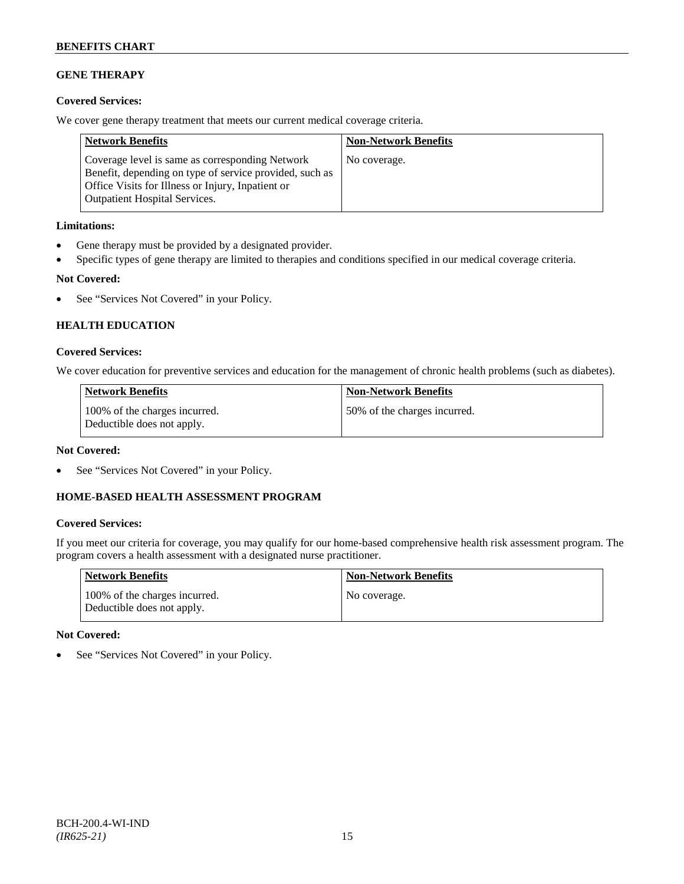## **GENE THERAPY**

## **Covered Services:**

We cover gene therapy treatment that meets our current medical coverage criteria.

| <b>Network Benefits</b>                                                                                                                                                                                 | <b>Non-Network Benefits</b> |
|---------------------------------------------------------------------------------------------------------------------------------------------------------------------------------------------------------|-----------------------------|
| Coverage level is same as corresponding Network<br>Benefit, depending on type of service provided, such as<br>Office Visits for Illness or Injury, Inpatient or<br><b>Outpatient Hospital Services.</b> | No coverage.                |

## **Limitations:**

- Gene therapy must be provided by a designated provider.
- Specific types of gene therapy are limited to therapies and conditions specified in our medical coverage criteria.

## **Not Covered:**

• See "Services Not Covered" in your Policy.

## **HEALTH EDUCATION**

## **Covered Services:**

We cover education for preventive services and education for the management of chronic health problems (such as diabetes).

| Network Benefits                                            | <b>Non-Network Benefits</b>  |
|-------------------------------------------------------------|------------------------------|
| 100% of the charges incurred.<br>Deductible does not apply. | 50% of the charges incurred. |

## **Not Covered:**

See "Services Not Covered" in your Policy.

## **HOME-BASED HEALTH ASSESSMENT PROGRAM**

## **Covered Services:**

If you meet our criteria for coverage, you may qualify for our home-based comprehensive health risk assessment program. The program covers a health assessment with a designated nurse practitioner.

| <b>Network Benefits</b>                                     | <b>Non-Network Benefits</b> |
|-------------------------------------------------------------|-----------------------------|
| 100% of the charges incurred.<br>Deductible does not apply. | No coverage.                |

## **Not Covered:**

• See "Services Not Covered" in your Policy.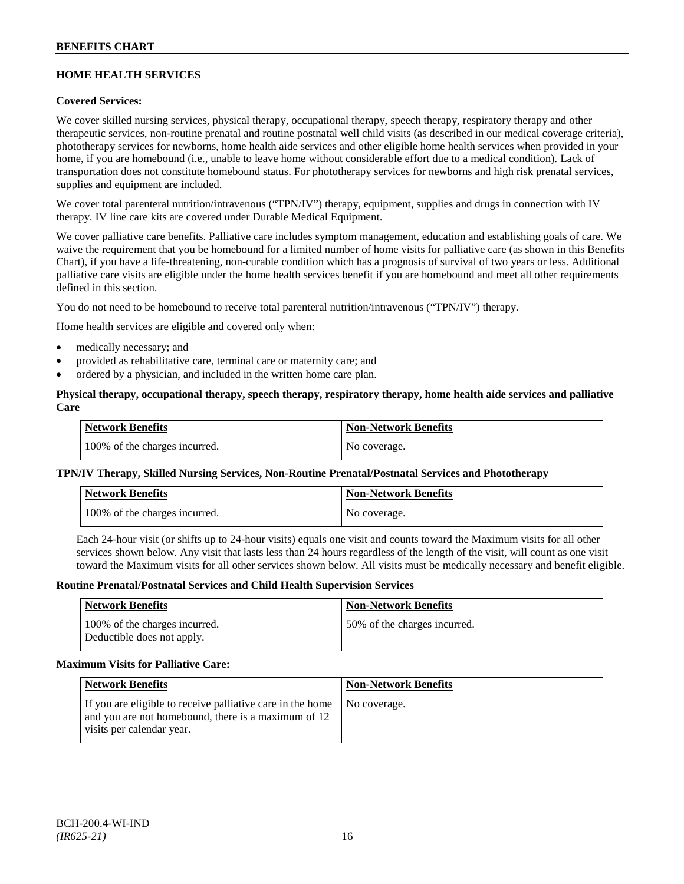## **HOME HEALTH SERVICES**

## **Covered Services:**

We cover skilled nursing services, physical therapy, occupational therapy, speech therapy, respiratory therapy and other therapeutic services, non-routine prenatal and routine postnatal well child visits (as described in our medical coverage criteria), phototherapy services for newborns, home health aide services and other eligible home health services when provided in your home, if you are homebound (i.e., unable to leave home without considerable effort due to a medical condition). Lack of transportation does not constitute homebound status. For phototherapy services for newborns and high risk prenatal services, supplies and equipment are included.

We cover total parenteral nutrition/intravenous ("TPN/IV") therapy, equipment, supplies and drugs in connection with IV therapy. IV line care kits are covered under Durable Medical Equipment.

We cover palliative care benefits. Palliative care includes symptom management, education and establishing goals of care. We waive the requirement that you be homebound for a limited number of home visits for palliative care (as shown in this Benefits Chart), if you have a life-threatening, non-curable condition which has a prognosis of survival of two years or less. Additional palliative care visits are eligible under the home health services benefit if you are homebound and meet all other requirements defined in this section.

You do not need to be homebound to receive total parenteral nutrition/intravenous ("TPN/IV") therapy.

Home health services are eligible and covered only when:

- medically necessary; and
- provided as rehabilitative care, terminal care or maternity care; and
- ordered by a physician, and included in the written home care plan.

### **Physical therapy, occupational therapy, speech therapy, respiratory therapy, home health aide services and palliative Care**

| <b>Network Benefits</b>       | <b>Non-Network Benefits</b> |
|-------------------------------|-----------------------------|
| 100% of the charges incurred. | No coverage.                |

## **TPN/IV Therapy, Skilled Nursing Services, Non-Routine Prenatal/Postnatal Services and Phototherapy**

| Network Benefits              | <b>Non-Network Benefits</b> |
|-------------------------------|-----------------------------|
| 100% of the charges incurred. | No coverage.                |

Each 24-hour visit (or shifts up to 24-hour visits) equals one visit and counts toward the Maximum visits for all other services shown below. Any visit that lasts less than 24 hours regardless of the length of the visit, will count as one visit toward the Maximum visits for all other services shown below. All visits must be medically necessary and benefit eligible.

#### **Routine Prenatal/Postnatal Services and Child Health Supervision Services**

| <b>Network Benefits</b>                                     | <b>Non-Network Benefits</b>  |
|-------------------------------------------------------------|------------------------------|
| 100% of the charges incurred.<br>Deductible does not apply. | 50% of the charges incurred. |

#### **Maximum Visits for Palliative Care:**

| <b>Network Benefits</b>                                                                                                                        | <b>Non-Network Benefits</b> |
|------------------------------------------------------------------------------------------------------------------------------------------------|-----------------------------|
| If you are eligible to receive palliative care in the home<br>and you are not homebound, there is a maximum of 12<br>visits per calendar year. | No coverage.                |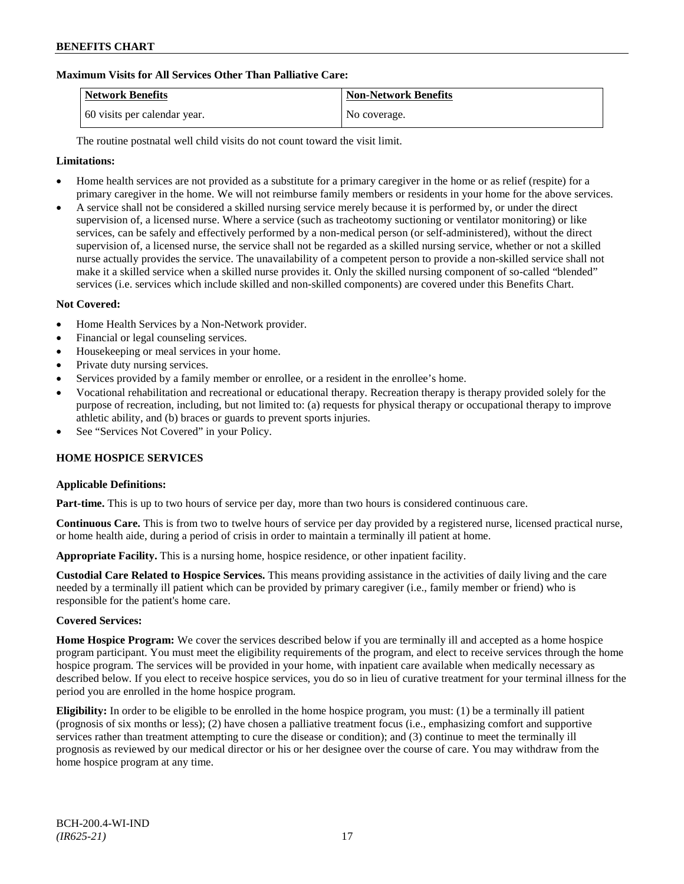## **Maximum Visits for All Services Other Than Palliative Care:**

| Network Benefits             | <b>Non-Network Benefits</b> |
|------------------------------|-----------------------------|
| 60 visits per calendar year. | No coverage.                |

The routine postnatal well child visits do not count toward the visit limit.

### **Limitations:**

- Home health services are not provided as a substitute for a primary caregiver in the home or as relief (respite) for a primary caregiver in the home. We will not reimburse family members or residents in your home for the above services.
- A service shall not be considered a skilled nursing service merely because it is performed by, or under the direct supervision of, a licensed nurse. Where a service (such as tracheotomy suctioning or ventilator monitoring) or like services, can be safely and effectively performed by a non-medical person (or self-administered), without the direct supervision of, a licensed nurse, the service shall not be regarded as a skilled nursing service, whether or not a skilled nurse actually provides the service. The unavailability of a competent person to provide a non-skilled service shall not make it a skilled service when a skilled nurse provides it. Only the skilled nursing component of so-called "blended" services (i.e. services which include skilled and non-skilled components) are covered under this Benefits Chart.

#### **Not Covered:**

- Home Health Services by a Non-Network provider.
- Financial or legal counseling services.
- Housekeeping or meal services in your home.
- Private duty nursing services.
- Services provided by a family member or enrollee, or a resident in the enrollee's home.
- Vocational rehabilitation and recreational or educational therapy. Recreation therapy is therapy provided solely for the purpose of recreation, including, but not limited to: (a) requests for physical therapy or occupational therapy to improve athletic ability, and (b) braces or guards to prevent sports injuries.
- See "Services Not Covered" in your Policy.

#### **HOME HOSPICE SERVICES**

#### **Applicable Definitions:**

**Part-time.** This is up to two hours of service per day, more than two hours is considered continuous care.

**Continuous Care.** This is from two to twelve hours of service per day provided by a registered nurse, licensed practical nurse, or home health aide, during a period of crisis in order to maintain a terminally ill patient at home.

**Appropriate Facility.** This is a nursing home, hospice residence, or other inpatient facility.

**Custodial Care Related to Hospice Services.** This means providing assistance in the activities of daily living and the care needed by a terminally ill patient which can be provided by primary caregiver (i.e., family member or friend) who is responsible for the patient's home care.

#### **Covered Services:**

**Home Hospice Program:** We cover the services described below if you are terminally ill and accepted as a home hospice program participant. You must meet the eligibility requirements of the program, and elect to receive services through the home hospice program. The services will be provided in your home, with inpatient care available when medically necessary as described below. If you elect to receive hospice services, you do so in lieu of curative treatment for your terminal illness for the period you are enrolled in the home hospice program.

**Eligibility:** In order to be eligible to be enrolled in the home hospice program, you must: (1) be a terminally ill patient (prognosis of six months or less); (2) have chosen a palliative treatment focus (i.e., emphasizing comfort and supportive services rather than treatment attempting to cure the disease or condition); and (3) continue to meet the terminally ill prognosis as reviewed by our medical director or his or her designee over the course of care. You may withdraw from the home hospice program at any time.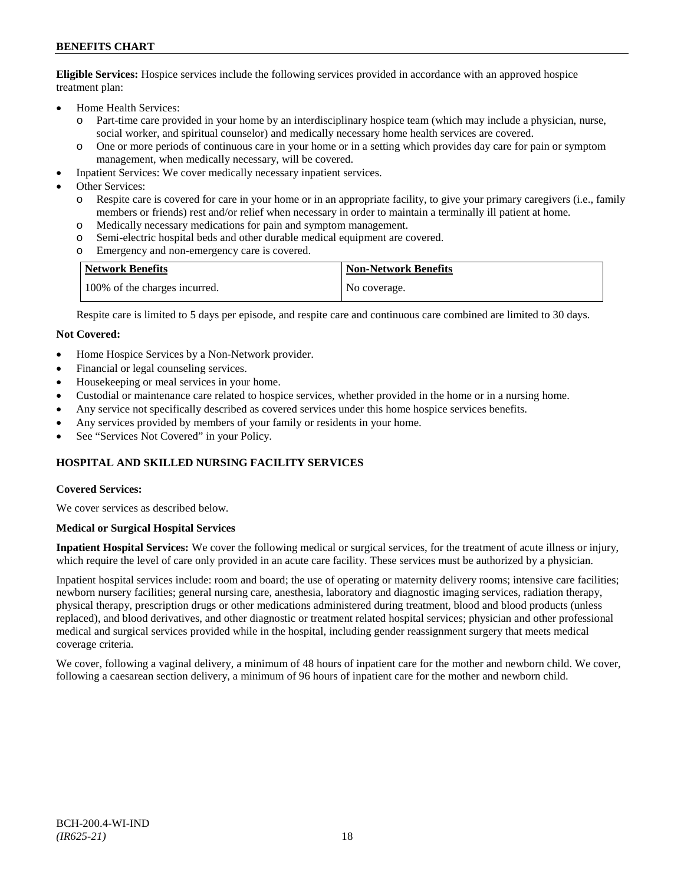**Eligible Services:** Hospice services include the following services provided in accordance with an approved hospice treatment plan:

- Home Health Services:
	- o Part-time care provided in your home by an interdisciplinary hospice team (which may include a physician, nurse, social worker, and spiritual counselor) and medically necessary home health services are covered.
	- o One or more periods of continuous care in your home or in a setting which provides day care for pain or symptom management, when medically necessary, will be covered.
- Inpatient Services: We cover medically necessary inpatient services.
- Other Services:
	- o Respite care is covered for care in your home or in an appropriate facility, to give your primary caregivers (i.e., family members or friends) rest and/or relief when necessary in order to maintain a terminally ill patient at home*.*
	- o Medically necessary medications for pain and symptom management.
	- o Semi-electric hospital beds and other durable medical equipment are covered.
	- o Emergency and non-emergency care is covered.

| <b>Network Benefits</b>       | <b>Non-Network Benefits</b> |
|-------------------------------|-----------------------------|
| 100% of the charges incurred. | No coverage.                |

Respite care is limited to 5 days per episode, and respite care and continuous care combined are limited to 30 days.

#### **Not Covered:**

- Home Hospice Services by a Non-Network provider.
- Financial or legal counseling services.
- Housekeeping or meal services in your home.
- Custodial or maintenance care related to hospice services, whether provided in the home or in a nursing home.
- Any service not specifically described as covered services under this home hospice services benefits.
- Any services provided by members of your family or residents in your home.
- See "Services Not Covered" in your Policy.

## **HOSPITAL AND SKILLED NURSING FACILITY SERVICES**

#### **Covered Services:**

We cover services as described below.

#### **Medical or Surgical Hospital Services**

**Inpatient Hospital Services:** We cover the following medical or surgical services, for the treatment of acute illness or injury, which require the level of care only provided in an acute care facility. These services must be authorized by a physician.

Inpatient hospital services include: room and board; the use of operating or maternity delivery rooms; intensive care facilities; newborn nursery facilities; general nursing care, anesthesia, laboratory and diagnostic imaging services, radiation therapy, physical therapy, prescription drugs or other medications administered during treatment, blood and blood products (unless replaced), and blood derivatives, and other diagnostic or treatment related hospital services; physician and other professional medical and surgical services provided while in the hospital, including gender reassignment surgery that meets medical coverage criteria.

We cover, following a vaginal delivery, a minimum of 48 hours of inpatient care for the mother and newborn child. We cover, following a caesarean section delivery, a minimum of 96 hours of inpatient care for the mother and newborn child.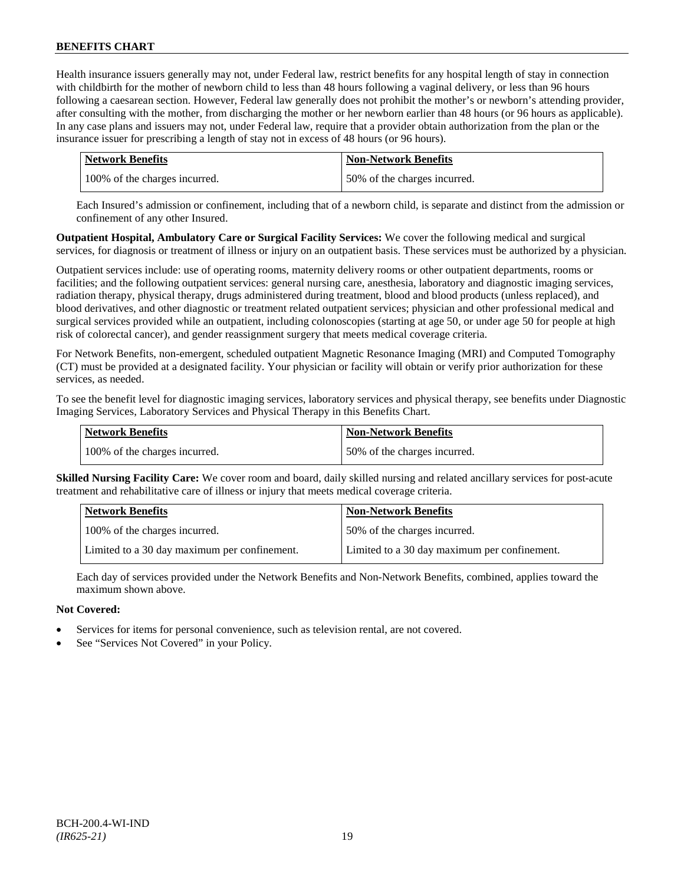Health insurance issuers generally may not, under Federal law, restrict benefits for any hospital length of stay in connection with childbirth for the mother of newborn child to less than 48 hours following a vaginal delivery, or less than 96 hours following a caesarean section. However, Federal law generally does not prohibit the mother's or newborn's attending provider, after consulting with the mother, from discharging the mother or her newborn earlier than 48 hours (or 96 hours as applicable). In any case plans and issuers may not, under Federal law, require that a provider obtain authorization from the plan or the insurance issuer for prescribing a length of stay not in excess of 48 hours (or 96 hours).

| Network Benefits              | <b>Non-Network Benefits</b>  |
|-------------------------------|------------------------------|
| 100% of the charges incurred. | 50% of the charges incurred. |

Each Insured's admission or confinement, including that of a newborn child, is separate and distinct from the admission or confinement of any other Insured.

**Outpatient Hospital, Ambulatory Care or Surgical Facility Services:** We cover the following medical and surgical services, for diagnosis or treatment of illness or injury on an outpatient basis. These services must be authorized by a physician.

Outpatient services include: use of operating rooms, maternity delivery rooms or other outpatient departments, rooms or facilities; and the following outpatient services: general nursing care, anesthesia, laboratory and diagnostic imaging services, radiation therapy, physical therapy, drugs administered during treatment, blood and blood products (unless replaced), and blood derivatives, and other diagnostic or treatment related outpatient services; physician and other professional medical and surgical services provided while an outpatient, including colonoscopies (starting at age 50, or under age 50 for people at high risk of colorectal cancer), and gender reassignment surgery that meets medical coverage criteria.

For Network Benefits, non-emergent, scheduled outpatient Magnetic Resonance Imaging (MRI) and Computed Tomography (CT) must be provided at a designated facility. Your physician or facility will obtain or verify prior authorization for these services, as needed.

To see the benefit level for diagnostic imaging services, laboratory services and physical therapy, see benefits under Diagnostic Imaging Services, Laboratory Services and Physical Therapy in this Benefits Chart.

| <b>Network Benefits</b>       | <b>Non-Network Benefits</b>  |
|-------------------------------|------------------------------|
| 100% of the charges incurred. | 50% of the charges incurred. |

**Skilled Nursing Facility Care:** We cover room and board, daily skilled nursing and related ancillary services for post-acute treatment and rehabilitative care of illness or injury that meets medical coverage criteria.

| <b>Network Benefits</b>                      | <b>Non-Network Benefits</b>                  |
|----------------------------------------------|----------------------------------------------|
| 100% of the charges incurred.                | 50% of the charges incurred.                 |
| Limited to a 30 day maximum per confinement. | Limited to a 30 day maximum per confinement. |

Each day of services provided under the Network Benefits and Non-Network Benefits, combined, applies toward the maximum shown above.

## **Not Covered:**

- Services for items for personal convenience, such as television rental, are not covered.
- See "Services Not Covered" in your Policy.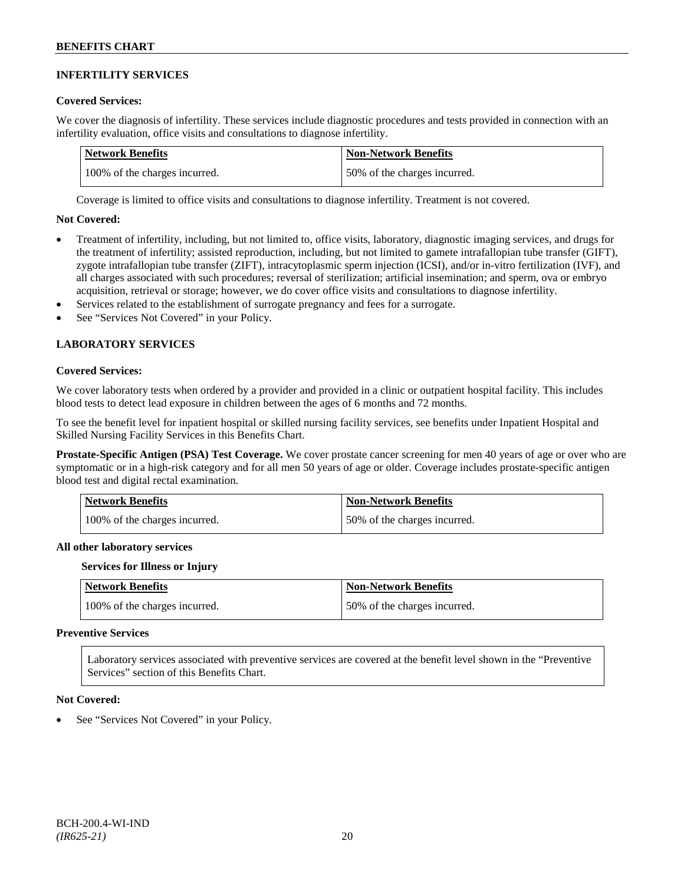### **INFERTILITY SERVICES**

#### **Covered Services:**

We cover the diagnosis of infertility. These services include diagnostic procedures and tests provided in connection with an infertility evaluation, office visits and consultations to diagnose infertility.

| Network Benefits              | <b>Non-Network Benefits</b>  |
|-------------------------------|------------------------------|
| 100% of the charges incurred. | 50% of the charges incurred. |

Coverage is limited to office visits and consultations to diagnose infertility. Treatment is not covered.

#### **Not Covered:**

- Treatment of infertility, including, but not limited to, office visits, laboratory, diagnostic imaging services, and drugs for the treatment of infertility; assisted reproduction, including, but not limited to gamete intrafallopian tube transfer (GIFT), zygote intrafallopian tube transfer (ZIFT), intracytoplasmic sperm injection (ICSI), and/or in-vitro fertilization (IVF), and all charges associated with such procedures; reversal of sterilization; artificial insemination; and sperm, ova or embryo acquisition, retrieval or storage; however, we do cover office visits and consultations to diagnose infertility.
- Services related to the establishment of surrogate pregnancy and fees for a surrogate.
- See "Services Not Covered" in your Policy.

## **LABORATORY SERVICES**

#### **Covered Services:**

We cover laboratory tests when ordered by a provider and provided in a clinic or outpatient hospital facility. This includes blood tests to detect lead exposure in children between the ages of 6 months and 72 months.

To see the benefit level for inpatient hospital or skilled nursing facility services, see benefits under Inpatient Hospital and Skilled Nursing Facility Services in this Benefits Chart.

**Prostate-Specific Antigen (PSA) Test Coverage.** We cover prostate cancer screening for men 40 years of age or over who are symptomatic or in a high-risk category and for all men 50 years of age or older. Coverage includes prostate-specific antigen blood test and digital rectal examination.

| <b>Network Benefits</b>       | <b>Non-Network Benefits</b>  |
|-------------------------------|------------------------------|
| 100% of the charges incurred. | 50% of the charges incurred. |

#### **All other laboratory services**

#### **Services for Illness or Injury**

| <b>Network Benefits</b>       | <b>Non-Network Benefits</b>  |
|-------------------------------|------------------------------|
| 100% of the charges incurred. | 50% of the charges incurred. |

#### **Preventive Services**

Laboratory services associated with preventive services are covered at the benefit level shown in the "Preventive Services" section of this Benefits Chart.

#### **Not Covered:**

See "Services Not Covered" in your Policy.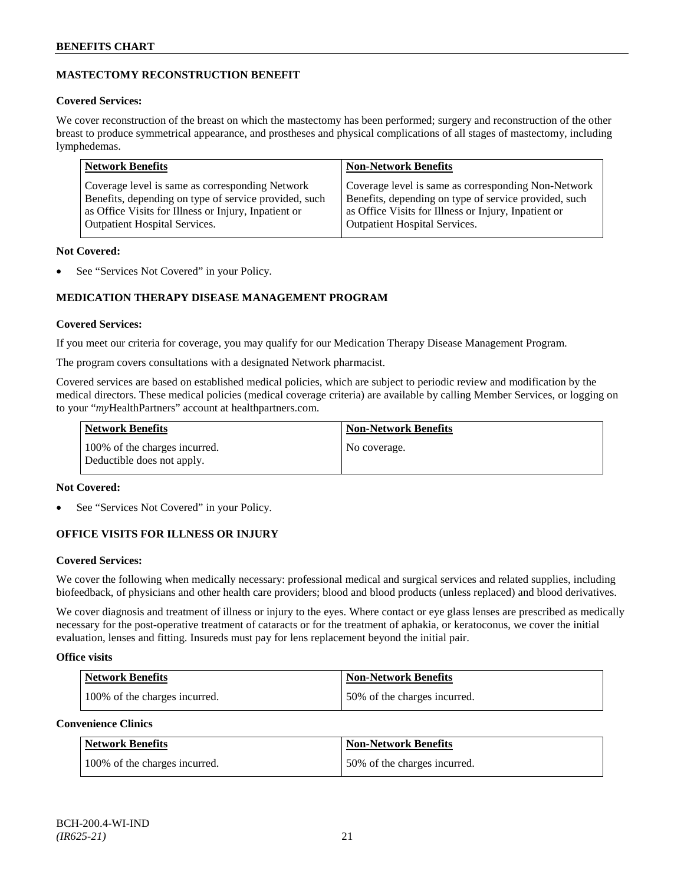## **MASTECTOMY RECONSTRUCTION BENEFIT**

## **Covered Services:**

We cover reconstruction of the breast on which the mastectomy has been performed; surgery and reconstruction of the other breast to produce symmetrical appearance, and prostheses and physical complications of all stages of mastectomy, including lymphedemas.

| Coverage level is same as corresponding Non-Network<br>Coverage level is same as corresponding Network<br>Benefits, depending on type of service provided, such<br>Benefits, depending on type of service provided, such | <b>Network Benefits</b>                              | <b>Non-Network Benefits</b>                          |
|--------------------------------------------------------------------------------------------------------------------------------------------------------------------------------------------------------------------------|------------------------------------------------------|------------------------------------------------------|
| <b>Outpatient Hospital Services.</b><br><b>Outpatient Hospital Services.</b>                                                                                                                                             | as Office Visits for Illness or Injury, Inpatient or | as Office Visits for Illness or Injury, Inpatient or |

## **Not Covered:**

See "Services Not Covered" in your Policy.

## **MEDICATION THERAPY DISEASE MANAGEMENT PROGRAM**

## **Covered Services:**

If you meet our criteria for coverage, you may qualify for our Medication Therapy Disease Management Program.

The program covers consultations with a designated Network pharmacist.

Covered services are based on established medical policies, which are subject to periodic review and modification by the medical directors. These medical policies (medical coverage criteria) are available by calling Member Services, or logging on to your "*my*HealthPartners" account at [healthpartners.com.](http://www.healthpartners.com/)

| <b>Network Benefits</b>                                     | <b>Non-Network Benefits</b> |
|-------------------------------------------------------------|-----------------------------|
| 100% of the charges incurred.<br>Deductible does not apply. | No coverage.                |

## **Not Covered:**

See "Services Not Covered" in your Policy.

## **OFFICE VISITS FOR ILLNESS OR INJURY**

## **Covered Services:**

We cover the following when medically necessary: professional medical and surgical services and related supplies, including biofeedback, of physicians and other health care providers; blood and blood products (unless replaced) and blood derivatives.

We cover diagnosis and treatment of illness or injury to the eyes. Where contact or eye glass lenses are prescribed as medically necessary for the post-operative treatment of cataracts or for the treatment of aphakia, or keratoconus, we cover the initial evaluation, lenses and fitting. Insureds must pay for lens replacement beyond the initial pair.

## **Office visits**

| Network Benefits              | <b>Non-Network Benefits</b>  |
|-------------------------------|------------------------------|
| 100% of the charges incurred. | 50% of the charges incurred. |

## **Convenience Clinics**

| <b>Network Benefits</b>       | <b>Non-Network Benefits</b>  |
|-------------------------------|------------------------------|
| 100% of the charges incurred. | 50% of the charges incurred. |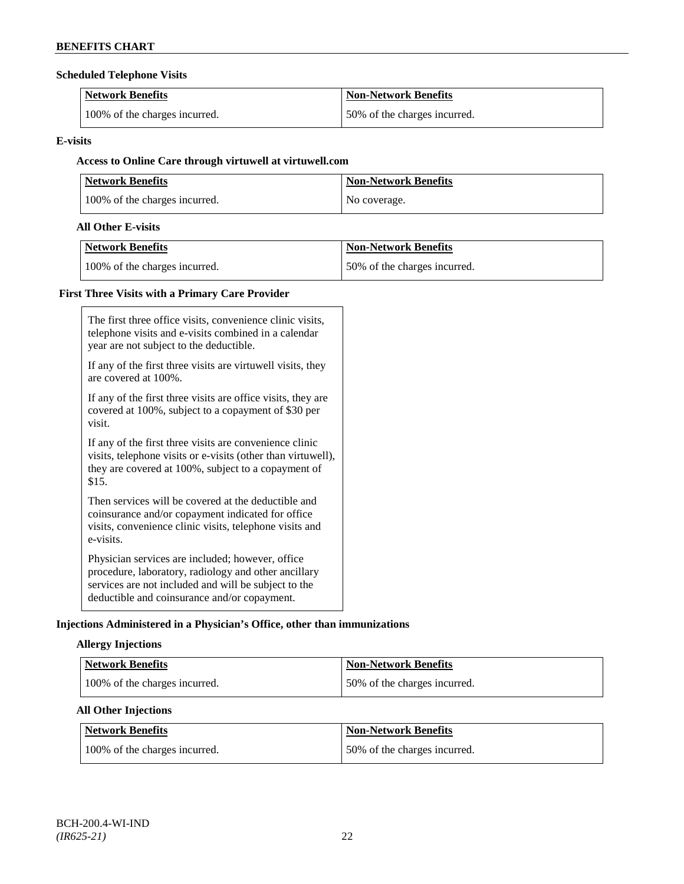## **Scheduled Telephone Visits**

| <b>Network Benefits</b>       | <b>Non-Network Benefits</b>  |
|-------------------------------|------------------------------|
| 100% of the charges incurred. | 50% of the charges incurred. |

### **E-visits**

## **Access to Online Care through virtuwell a[t virtuwell.com](http://www.virtuwell.com/)**

| <b>Network Benefits</b>       | <b>Non-Network Benefits</b> |
|-------------------------------|-----------------------------|
| 100% of the charges incurred. | No coverage.                |

## **All Other E-visits**

| Network Benefits              | <b>Non-Network Benefits</b>  |
|-------------------------------|------------------------------|
| 100% of the charges incurred. | 50% of the charges incurred. |

## **First Three Visits with a Primary Care Provider**

| The first three office visits, convenience clinic visits,<br>telephone visits and e-visits combined in a calendar<br>year are not subject to the deductible.                                                     |
|------------------------------------------------------------------------------------------------------------------------------------------------------------------------------------------------------------------|
| If any of the first three visits are virtuwell visits, they<br>are covered at 100\%.                                                                                                                             |
| If any of the first three visits are office visits, they are<br>covered at 100%, subject to a copayment of \$30 per<br>visit.                                                                                    |
| If any of the first three visits are convenience clinic<br>visits, telephone visits or e-visits (other than virtuwell),<br>they are covered at 100%, subject to a copayment of<br>\$15.                          |
| Then services will be covered at the deductible and<br>coinsurance and/or copayment indicated for office<br>visits, convenience clinic visits, telephone visits and<br>e-visits.                                 |
| Physician services are included; however, office<br>procedure, laboratory, radiology and other ancillary<br>services are not included and will be subject to the<br>deductible and coinsurance and/or copayment. |

## **Injections Administered in a Physician's Office, other than immunizations**

## **Allergy Injections**

| Network Benefits              | Non-Network Benefits         |
|-------------------------------|------------------------------|
| 100% of the charges incurred. | 50% of the charges incurred. |

## **All Other Injections**

| <b>Network Benefits</b>       | Non-Network Benefits         |
|-------------------------------|------------------------------|
| 100% of the charges incurred. | 50% of the charges incurred. |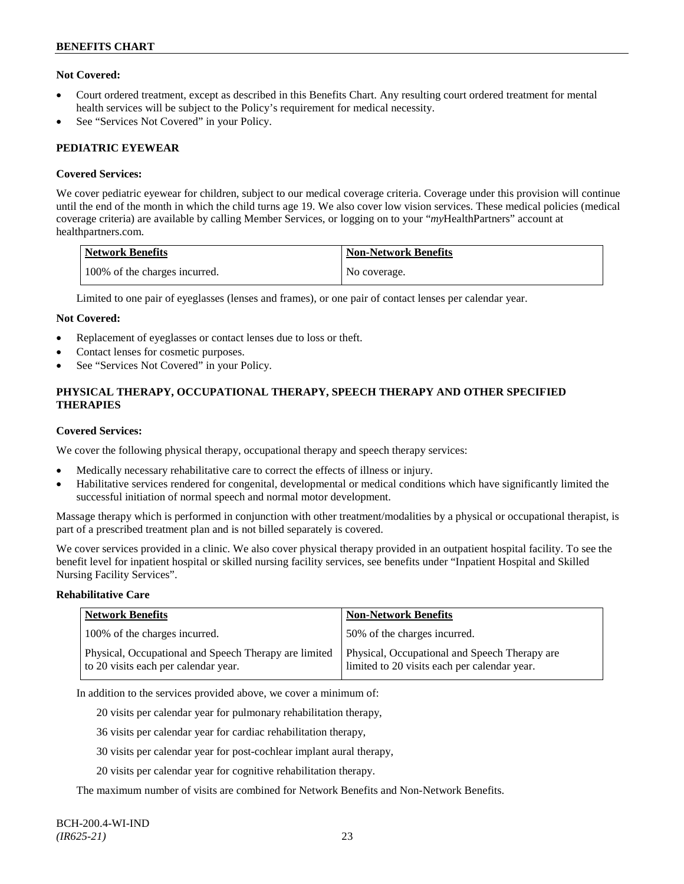## **Not Covered:**

- Court ordered treatment, except as described in this Benefits Chart. Any resulting court ordered treatment for mental health services will be subject to the Policy's requirement for medical necessity.
- See "Services Not Covered" in your Policy.

## **PEDIATRIC EYEWEAR**

### **Covered Services:**

We cover pediatric eyewear for children, subject to our medical coverage criteria. Coverage under this provision will continue until the end of the month in which the child turns age 19. We also cover low vision services. These medical policies (medical coverage criteria) are available by calling Member Services, or logging on to your "*my*HealthPartners" account at [healthpartners.com.](http://www.healthpartners.com/)

| Network Benefits              | <b>Non-Network Benefits</b> |
|-------------------------------|-----------------------------|
| 100% of the charges incurred. | No coverage.                |

Limited to one pair of eyeglasses (lenses and frames), or one pair of contact lenses per calendar year.

#### **Not Covered:**

- Replacement of eyeglasses or contact lenses due to loss or theft.
- Contact lenses for cosmetic purposes.
- See "Services Not Covered" in your Policy.

## **PHYSICAL THERAPY, OCCUPATIONAL THERAPY, SPEECH THERAPY AND OTHER SPECIFIED THERAPIES**

#### **Covered Services:**

We cover the following physical therapy, occupational therapy and speech therapy services:

- Medically necessary rehabilitative care to correct the effects of illness or injury.
- Habilitative services rendered for congenital, developmental or medical conditions which have significantly limited the successful initiation of normal speech and normal motor development.

Massage therapy which is performed in conjunction with other treatment/modalities by a physical or occupational therapist, is part of a prescribed treatment plan and is not billed separately is covered.

We cover services provided in a clinic. We also cover physical therapy provided in an outpatient hospital facility. To see the benefit level for inpatient hospital or skilled nursing facility services, see benefits under "Inpatient Hospital and Skilled Nursing Facility Services".

### **Rehabilitative Care**

| <b>Network Benefits</b>                                                                       | <b>Non-Network Benefits</b>                                                                   |
|-----------------------------------------------------------------------------------------------|-----------------------------------------------------------------------------------------------|
| 100% of the charges incurred.                                                                 | 150% of the charges incurred.                                                                 |
| Physical, Occupational and Speech Therapy are limited<br>to 20 visits each per calendar year. | Physical, Occupational and Speech Therapy are<br>limited to 20 visits each per calendar year. |

In addition to the services provided above, we cover a minimum of:

20 visits per calendar year for pulmonary rehabilitation therapy,

36 visits per calendar year for cardiac rehabilitation therapy,

30 visits per calendar year for post-cochlear implant aural therapy,

20 visits per calendar year for cognitive rehabilitation therapy.

The maximum number of visits are combined for Network Benefits and Non-Network Benefits.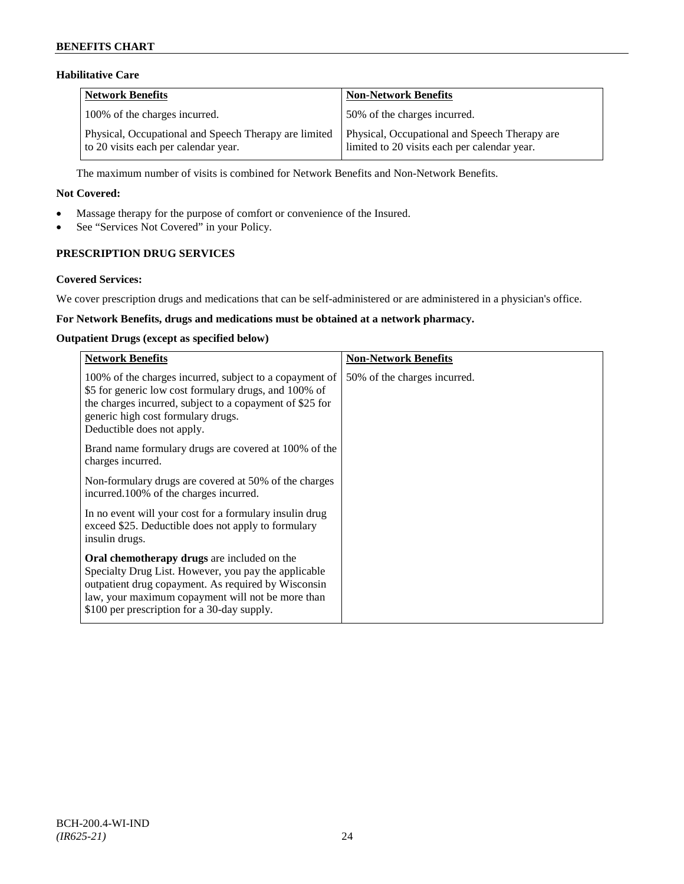## **Habilitative Care**

| <b>Network Benefits</b>                                                                       | <b>Non-Network Benefits</b>                                                                   |
|-----------------------------------------------------------------------------------------------|-----------------------------------------------------------------------------------------------|
| 100% of the charges incurred.                                                                 | 50% of the charges incurred.                                                                  |
| Physical, Occupational and Speech Therapy are limited<br>to 20 visits each per calendar year. | Physical, Occupational and Speech Therapy are<br>limited to 20 visits each per calendar year. |

The maximum number of visits is combined for Network Benefits and Non-Network Benefits.

### **Not Covered:**

- Massage therapy for the purpose of comfort or convenience of the Insured.
- See "Services Not Covered" in your Policy.

## **PRESCRIPTION DRUG SERVICES**

#### **Covered Services:**

We cover prescription drugs and medications that can be self-administered or are administered in a physician's office.

## **For Network Benefits, drugs and medications must be obtained at a network pharmacy.**

#### **Outpatient Drugs (except as specified below)**

| <b>Network Benefits</b>                                                                                                                                                                                                                                               | <b>Non-Network Benefits</b>  |
|-----------------------------------------------------------------------------------------------------------------------------------------------------------------------------------------------------------------------------------------------------------------------|------------------------------|
| 100% of the charges incurred, subject to a copayment of<br>\$5 for generic low cost formulary drugs, and 100% of<br>the charges incurred, subject to a copayment of \$25 for<br>generic high cost formulary drugs.<br>Deductible does not apply.                      | 50% of the charges incurred. |
| Brand name formulary drugs are covered at 100% of the<br>charges incurred.                                                                                                                                                                                            |                              |
| Non-formulary drugs are covered at 50% of the charges<br>incurred.100% of the charges incurred.                                                                                                                                                                       |                              |
| In no event will your cost for a formulary insulin drug<br>exceed \$25. Deductible does not apply to formulary<br>insulin drugs.                                                                                                                                      |                              |
| <b>Oral chemotherapy drugs</b> are included on the<br>Specialty Drug List. However, you pay the applicable<br>outpatient drug copayment. As required by Wisconsin<br>law, your maximum copayment will not be more than<br>\$100 per prescription for a 30-day supply. |                              |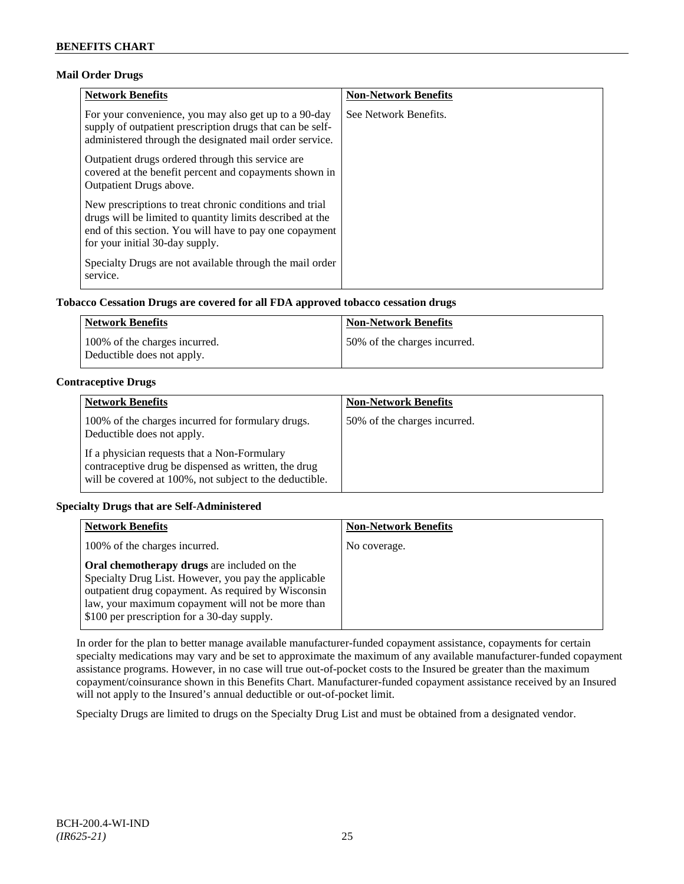## **Mail Order Drugs**

| <b>Network Benefits</b>                                                                                                                                                                                            | <b>Non-Network Benefits</b> |
|--------------------------------------------------------------------------------------------------------------------------------------------------------------------------------------------------------------------|-----------------------------|
| For your convenience, you may also get up to a 90-day<br>supply of outpatient prescription drugs that can be self-<br>administered through the designated mail order service.                                      | See Network Benefits.       |
| Outpatient drugs ordered through this service are.<br>covered at the benefit percent and copayments shown in<br><b>Outpatient Drugs above.</b>                                                                     |                             |
| New prescriptions to treat chronic conditions and trial<br>drugs will be limited to quantity limits described at the<br>end of this section. You will have to pay one copayment<br>for your initial 30-day supply. |                             |
| Specialty Drugs are not available through the mail order<br>service.                                                                                                                                               |                             |

## **Tobacco Cessation Drugs are covered for all FDA approved tobacco cessation drugs**

| Network Benefits                                            | <b>Non-Network Benefits</b>  |
|-------------------------------------------------------------|------------------------------|
| 100% of the charges incurred.<br>Deductible does not apply. | 50% of the charges incurred. |

## **Contraceptive Drugs**

| <b>Network Benefits</b>                                                                                                                                         | <b>Non-Network Benefits</b>  |
|-----------------------------------------------------------------------------------------------------------------------------------------------------------------|------------------------------|
| 100% of the charges incurred for formulary drugs.<br>Deductible does not apply.                                                                                 | 50% of the charges incurred. |
| If a physician requests that a Non-Formulary<br>contraceptive drug be dispensed as written, the drug<br>will be covered at 100%, not subject to the deductible. |                              |

## **Specialty Drugs that are Self-Administered**

| <b>Network Benefits</b>                                                                                                                                                                                                                                        | <b>Non-Network Benefits</b> |
|----------------------------------------------------------------------------------------------------------------------------------------------------------------------------------------------------------------------------------------------------------------|-----------------------------|
| 100% of the charges incurred.                                                                                                                                                                                                                                  | No coverage.                |
| Oral chemotherapy drugs are included on the<br>Specialty Drug List. However, you pay the applicable<br>outpatient drug copayment. As required by Wisconsin<br>law, your maximum copayment will not be more than<br>\$100 per prescription for a 30-day supply. |                             |

In order for the plan to better manage available manufacturer-funded copayment assistance, copayments for certain specialty medications may vary and be set to approximate the maximum of any available manufacturer-funded copayment assistance programs. However, in no case will true out-of-pocket costs to the Insured be greater than the maximum copayment/coinsurance shown in this Benefits Chart. Manufacturer-funded copayment assistance received by an Insured will not apply to the Insured's annual deductible or out-of-pocket limit.

Specialty Drugs are limited to drugs on the Specialty Drug List and must be obtained from a designated vendor.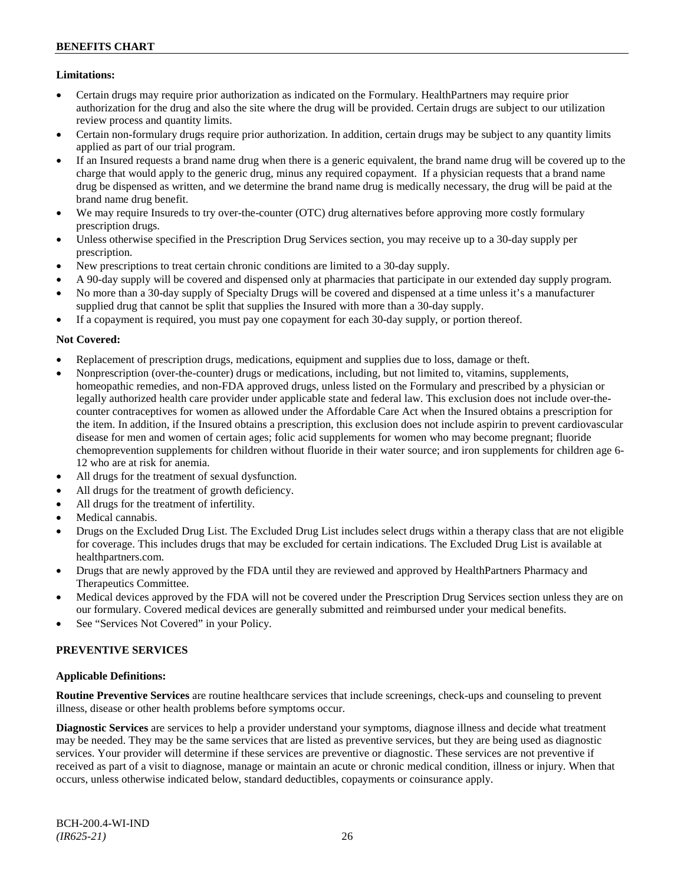## **Limitations:**

- Certain drugs may require prior authorization as indicated on the Formulary. HealthPartners may require prior authorization for the drug and also the site where the drug will be provided. Certain drugs are subject to our utilization review process and quantity limits.
- Certain non-formulary drugs require prior authorization. In addition, certain drugs may be subject to any quantity limits applied as part of our trial program.
- If an Insured requests a brand name drug when there is a generic equivalent, the brand name drug will be covered up to the charge that would apply to the generic drug, minus any required copayment. If a physician requests that a brand name drug be dispensed as written, and we determine the brand name drug is medically necessary, the drug will be paid at the brand name drug benefit.
- We may require Insureds to try over-the-counter (OTC) drug alternatives before approving more costly formulary prescription drugs.
- Unless otherwise specified in the Prescription Drug Services section, you may receive up to a 30-day supply per prescription.
- New prescriptions to treat certain chronic conditions are limited to a 30-day supply.
- A 90-day supply will be covered and dispensed only at pharmacies that participate in our extended day supply program.
- No more than a 30-day supply of Specialty Drugs will be covered and dispensed at a time unless it's a manufacturer supplied drug that cannot be split that supplies the Insured with more than a 30-day supply.
- If a copayment is required, you must pay one copayment for each 30-day supply, or portion thereof.

## **Not Covered:**

- Replacement of prescription drugs, medications, equipment and supplies due to loss, damage or theft.
- Nonprescription (over-the-counter) drugs or medications, including, but not limited to, vitamins, supplements, homeopathic remedies, and non-FDA approved drugs, unless listed on the Formulary and prescribed by a physician or legally authorized health care provider under applicable state and federal law. This exclusion does not include over-thecounter contraceptives for women as allowed under the Affordable Care Act when the Insured obtains a prescription for the item. In addition, if the Insured obtains a prescription, this exclusion does not include aspirin to prevent cardiovascular disease for men and women of certain ages; folic acid supplements for women who may become pregnant; fluoride chemoprevention supplements for children without fluoride in their water source; and iron supplements for children age 6- 12 who are at risk for anemia.
- All drugs for the treatment of sexual dysfunction.
- All drugs for the treatment of growth deficiency.
- All drugs for the treatment of infertility.
- Medical cannabis.
- Drugs on the Excluded Drug List. The Excluded Drug List includes select drugs within a therapy class that are not eligible for coverage. This includes drugs that may be excluded for certain indications. The Excluded Drug List is available at [healthpartners.com.](http://www.healthpartners.com/)
- Drugs that are newly approved by the FDA until they are reviewed and approved by HealthPartners Pharmacy and Therapeutics Committee.
- Medical devices approved by the FDA will not be covered under the Prescription Drug Services section unless they are on our formulary. Covered medical devices are generally submitted and reimbursed under your medical benefits.
- See "Services Not Covered" in your Policy.

## **PREVENTIVE SERVICES**

#### **Applicable Definitions:**

**Routine Preventive Services** are routine healthcare services that include screenings, check-ups and counseling to prevent illness, disease or other health problems before symptoms occur.

**Diagnostic Services** are services to help a provider understand your symptoms, diagnose illness and decide what treatment may be needed. They may be the same services that are listed as preventive services, but they are being used as diagnostic services. Your provider will determine if these services are preventive or diagnostic. These services are not preventive if received as part of a visit to diagnose, manage or maintain an acute or chronic medical condition, illness or injury. When that occurs, unless otherwise indicated below, standard deductibles, copayments or coinsurance apply.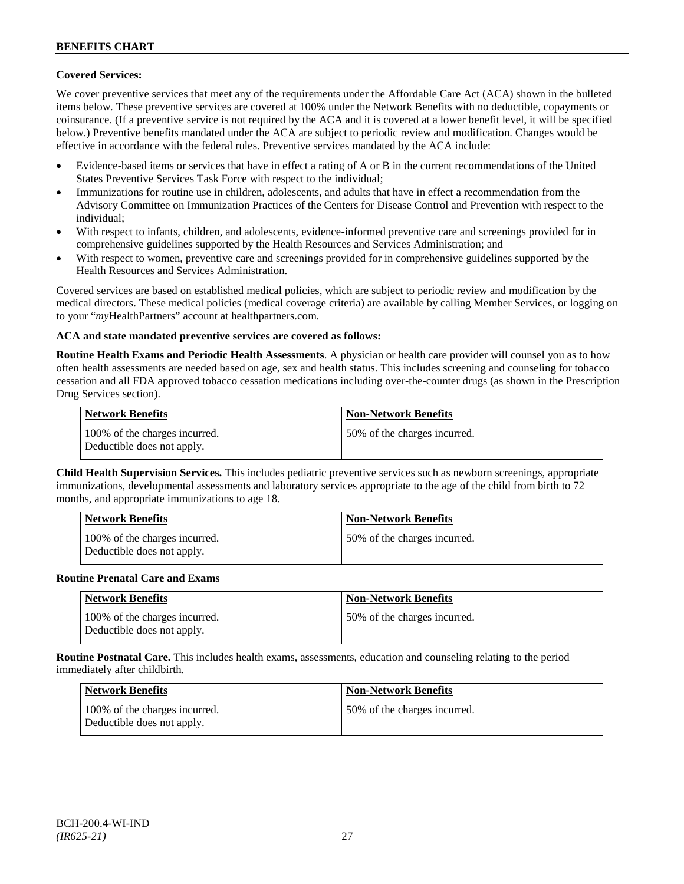## **Covered Services:**

We cover preventive services that meet any of the requirements under the Affordable Care Act (ACA) shown in the bulleted items below. These preventive services are covered at 100% under the Network Benefits with no deductible, copayments or coinsurance. (If a preventive service is not required by the ACA and it is covered at a lower benefit level, it will be specified below.) Preventive benefits mandated under the ACA are subject to periodic review and modification. Changes would be effective in accordance with the federal rules. Preventive services mandated by the ACA include:

- Evidence-based items or services that have in effect a rating of A or B in the current recommendations of the United States Preventive Services Task Force with respect to the individual;
- Immunizations for routine use in children, adolescents, and adults that have in effect a recommendation from the Advisory Committee on Immunization Practices of the Centers for Disease Control and Prevention with respect to the individual;
- With respect to infants, children, and adolescents, evidence-informed preventive care and screenings provided for in comprehensive guidelines supported by the Health Resources and Services Administration; and
- With respect to women, preventive care and screenings provided for in comprehensive guidelines supported by the Health Resources and Services Administration.

Covered services are based on established medical policies, which are subject to periodic review and modification by the medical directors. These medical policies (medical coverage criteria) are available by calling Member Services, or logging on to your "*my*HealthPartners" account at [healthpartners.com.](http://www.healthpartners.com/)

## **ACA and state mandated preventive services are covered as follows:**

**Routine Health Exams and Periodic Health Assessments**. A physician or health care provider will counsel you as to how often health assessments are needed based on age, sex and health status. This includes screening and counseling for tobacco cessation and all FDA approved tobacco cessation medications including over-the-counter drugs (as shown in the Prescription Drug Services section).

| <b>Network Benefits</b>                                     | <b>Non-Network Benefits</b>  |
|-------------------------------------------------------------|------------------------------|
| 100% of the charges incurred.<br>Deductible does not apply. | 50% of the charges incurred. |

**Child Health Supervision Services.** This includes pediatric preventive services such as newborn screenings, appropriate immunizations, developmental assessments and laboratory services appropriate to the age of the child from birth to 72 months, and appropriate immunizations to age 18.

| <b>Network Benefits</b>                                     | <b>Non-Network Benefits</b>  |
|-------------------------------------------------------------|------------------------------|
| 100% of the charges incurred.<br>Deductible does not apply. | 50% of the charges incurred. |

#### **Routine Prenatal Care and Exams**

| <b>Network Benefits</b>                                     | <b>Non-Network Benefits</b>  |
|-------------------------------------------------------------|------------------------------|
| 100% of the charges incurred.<br>Deductible does not apply. | 50% of the charges incurred. |

**Routine Postnatal Care.** This includes health exams, assessments, education and counseling relating to the period immediately after childbirth.

| Network Benefits                                            | <b>Non-Network Benefits</b>  |
|-------------------------------------------------------------|------------------------------|
| 100% of the charges incurred.<br>Deductible does not apply. | 50% of the charges incurred. |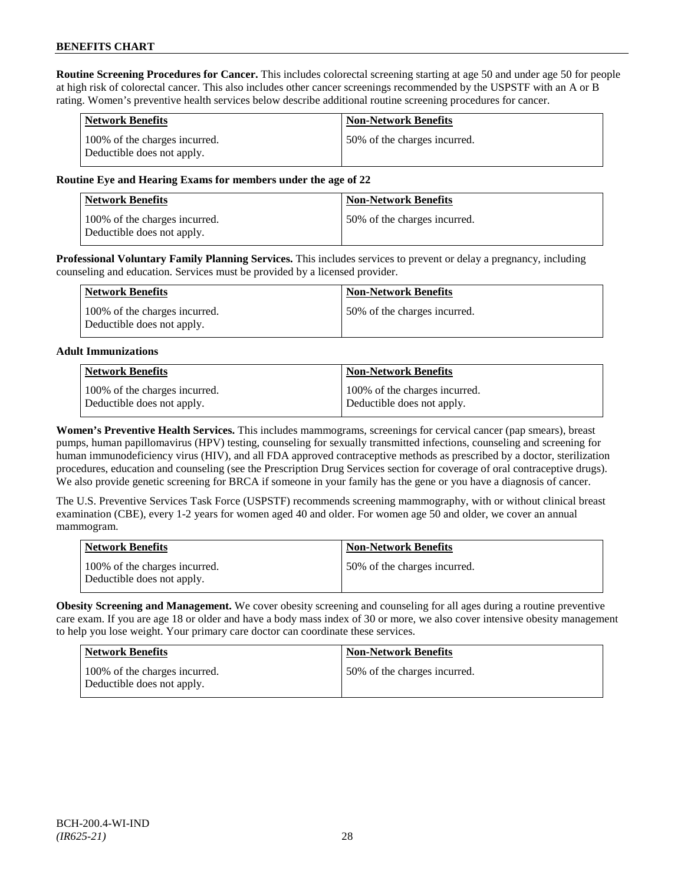**Routine Screening Procedures for Cancer.** This includes colorectal screening starting at age 50 and under age 50 for people at high risk of colorectal cancer. This also includes other cancer screenings recommended by the USPSTF with an A or B rating. Women's preventive health services below describe additional routine screening procedures for cancer.

| <b>Network Benefits</b>                                     | <b>Non-Network Benefits</b>  |
|-------------------------------------------------------------|------------------------------|
| 100% of the charges incurred.<br>Deductible does not apply. | 50% of the charges incurred. |

## **Routine Eye and Hearing Exams for members under the age of 22**

| <b>Network Benefits</b>                                     | <b>Non-Network Benefits</b>  |
|-------------------------------------------------------------|------------------------------|
| 100% of the charges incurred.<br>Deductible does not apply. | 50% of the charges incurred. |

**Professional Voluntary Family Planning Services.** This includes services to prevent or delay a pregnancy, including counseling and education. Services must be provided by a licensed provider.

| Network Benefits                                            | <b>Non-Network Benefits</b>   |
|-------------------------------------------------------------|-------------------------------|
| 100% of the charges incurred.<br>Deductible does not apply. | 150% of the charges incurred. |

#### **Adult Immunizations**

| Network Benefits              | Non-Network Benefits          |
|-------------------------------|-------------------------------|
| 100% of the charges incurred. | 100% of the charges incurred. |
| Deductible does not apply.    | Deductible does not apply.    |

**Women's Preventive Health Services.** This includes mammograms, screenings for cervical cancer (pap smears), breast pumps, human papillomavirus (HPV) testing, counseling for sexually transmitted infections, counseling and screening for human immunodeficiency virus (HIV), and all FDA approved contraceptive methods as prescribed by a doctor, sterilization procedures, education and counseling (see the Prescription Drug Services section for coverage of oral contraceptive drugs). We also provide genetic screening for BRCA if someone in your family has the gene or you have a diagnosis of cancer.

The U.S. Preventive Services Task Force (USPSTF) recommends screening mammography, with or without clinical breast examination (CBE), every 1-2 years for women aged 40 and older. For women age 50 and older, we cover an annual mammogram.

| <b>Network Benefits</b>                                     | <b>Non-Network Benefits</b>  |
|-------------------------------------------------------------|------------------------------|
| 100% of the charges incurred.<br>Deductible does not apply. | 50% of the charges incurred. |

**Obesity Screening and Management.** We cover obesity screening and counseling for all ages during a routine preventive care exam. If you are age 18 or older and have a body mass index of 30 or more, we also cover intensive obesity management to help you lose weight. Your primary care doctor can coordinate these services.

| <b>Network Benefits</b>                                     | <b>Non-Network Benefits</b>  |
|-------------------------------------------------------------|------------------------------|
| 100% of the charges incurred.<br>Deductible does not apply. | 50% of the charges incurred. |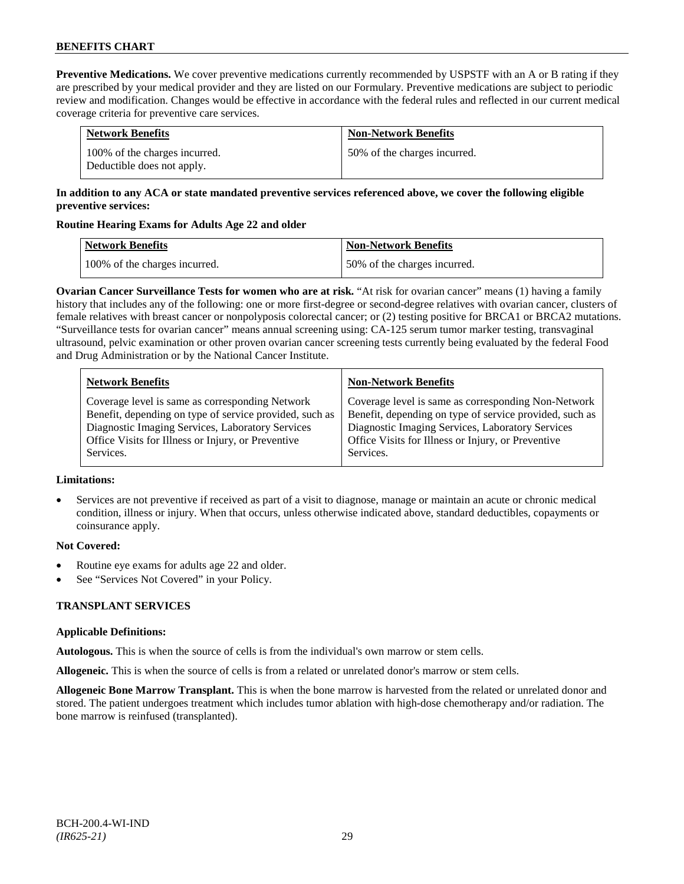**Preventive Medications.** We cover preventive medications currently recommended by USPSTF with an A or B rating if they are prescribed by your medical provider and they are listed on our Formulary. Preventive medications are subject to periodic review and modification. Changes would be effective in accordance with the federal rules and reflected in our current medical coverage criteria for preventive care services.

| <b>Network Benefits</b>                                     | <b>Non-Network Benefits</b>  |
|-------------------------------------------------------------|------------------------------|
| 100% of the charges incurred.<br>Deductible does not apply. | 50% of the charges incurred. |

## **In addition to any ACA or state mandated preventive services referenced above, we cover the following eligible preventive services:**

## **Routine Hearing Exams for Adults Age 22 and older**

| Network Benefits              | <b>Non-Network Benefits</b>  |
|-------------------------------|------------------------------|
| 100% of the charges incurred. | 50% of the charges incurred. |

**Ovarian Cancer Surveillance Tests for women who are at risk.** "At risk for ovarian cancer" means (1) having a family history that includes any of the following: one or more first-degree or second-degree relatives with ovarian cancer, clusters of female relatives with breast cancer or nonpolyposis colorectal cancer; or (2) testing positive for BRCA1 or BRCA2 mutations. "Surveillance tests for ovarian cancer" means annual screening using: CA-125 serum tumor marker testing, transvaginal ultrasound, pelvic examination or other proven ovarian cancer screening tests currently being evaluated by the federal Food and Drug Administration or by the National Cancer Institute.

| <b>Network Benefits</b>                                 | <b>Non-Network Benefits</b>                             |
|---------------------------------------------------------|---------------------------------------------------------|
| Coverage level is same as corresponding Network         | Coverage level is same as corresponding Non-Network     |
| Benefit, depending on type of service provided, such as | Benefit, depending on type of service provided, such as |
| Diagnostic Imaging Services, Laboratory Services        | Diagnostic Imaging Services, Laboratory Services        |
| Office Visits for Illness or Injury, or Preventive      | Office Visits for Illness or Injury, or Preventive      |
| Services.                                               | Services.                                               |

#### **Limitations:**

• Services are not preventive if received as part of a visit to diagnose, manage or maintain an acute or chronic medical condition, illness or injury. When that occurs, unless otherwise indicated above, standard deductibles, copayments or coinsurance apply.

## **Not Covered:**

- Routine eye exams for adults age 22 and older.
- See "Services Not Covered" in your Policy.

## **TRANSPLANT SERVICES**

## **Applicable Definitions:**

**Autologous.** This is when the source of cells is from the individual's own marrow or stem cells.

**Allogeneic.** This is when the source of cells is from a related or unrelated donor's marrow or stem cells.

**Allogeneic Bone Marrow Transplant.** This is when the bone marrow is harvested from the related or unrelated donor and stored. The patient undergoes treatment which includes tumor ablation with high-dose chemotherapy and/or radiation. The bone marrow is reinfused (transplanted).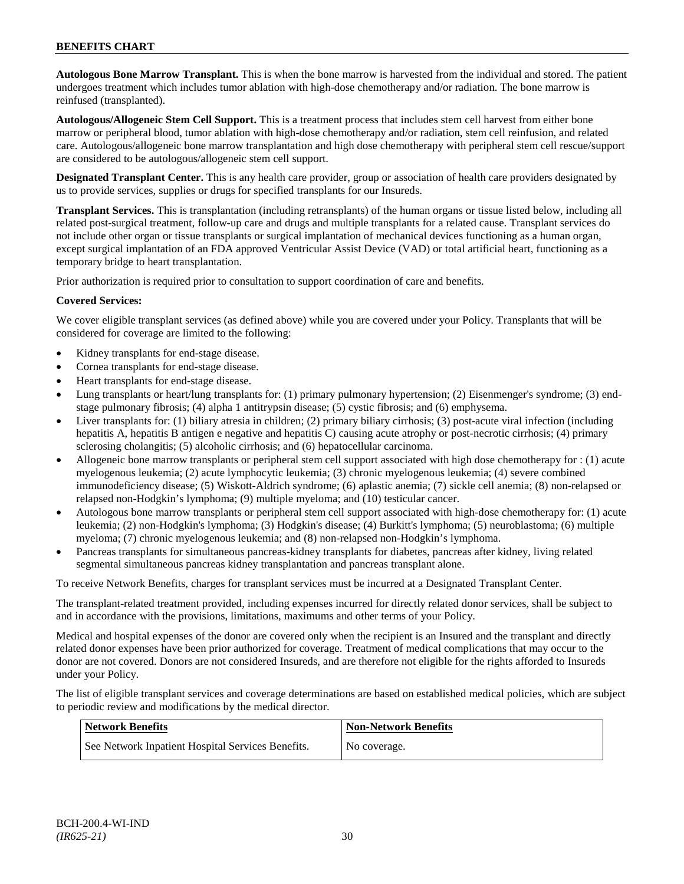**Autologous Bone Marrow Transplant.** This is when the bone marrow is harvested from the individual and stored. The patient undergoes treatment which includes tumor ablation with high-dose chemotherapy and/or radiation. The bone marrow is reinfused (transplanted).

**Autologous/Allogeneic Stem Cell Support.** This is a treatment process that includes stem cell harvest from either bone marrow or peripheral blood, tumor ablation with high-dose chemotherapy and/or radiation, stem cell reinfusion, and related care. Autologous/allogeneic bone marrow transplantation and high dose chemotherapy with peripheral stem cell rescue/support are considered to be autologous/allogeneic stem cell support.

**Designated Transplant Center.** This is any health care provider, group or association of health care providers designated by us to provide services, supplies or drugs for specified transplants for our Insureds.

**Transplant Services.** This is transplantation (including retransplants) of the human organs or tissue listed below, including all related post-surgical treatment, follow-up care and drugs and multiple transplants for a related cause. Transplant services do not include other organ or tissue transplants or surgical implantation of mechanical devices functioning as a human organ, except surgical implantation of an FDA approved Ventricular Assist Device (VAD) or total artificial heart, functioning as a temporary bridge to heart transplantation.

Prior authorization is required prior to consultation to support coordination of care and benefits.

## **Covered Services:**

We cover eligible transplant services (as defined above) while you are covered under your Policy. Transplants that will be considered for coverage are limited to the following:

- Kidney transplants for end-stage disease.
- Cornea transplants for end-stage disease.
- Heart transplants for end-stage disease.
- Lung transplants or heart/lung transplants for: (1) primary pulmonary hypertension; (2) Eisenmenger's syndrome; (3) endstage pulmonary fibrosis; (4) alpha 1 antitrypsin disease; (5) cystic fibrosis; and (6) emphysema.
- Liver transplants for: (1) biliary atresia in children; (2) primary biliary cirrhosis; (3) post-acute viral infection (including hepatitis A, hepatitis B antigen e negative and hepatitis C) causing acute atrophy or post-necrotic cirrhosis; (4) primary sclerosing cholangitis; (5) alcoholic cirrhosis; and (6) hepatocellular carcinoma.
- Allogeneic bone marrow transplants or peripheral stem cell support associated with high dose chemotherapy for : (1) acute myelogenous leukemia; (2) acute lymphocytic leukemia; (3) chronic myelogenous leukemia; (4) severe combined immunodeficiency disease; (5) Wiskott-Aldrich syndrome; (6) aplastic anemia; (7) sickle cell anemia; (8) non-relapsed or relapsed non-Hodgkin's lymphoma; (9) multiple myeloma; and (10) testicular cancer.
- Autologous bone marrow transplants or peripheral stem cell support associated with high-dose chemotherapy for: (1) acute leukemia; (2) non-Hodgkin's lymphoma; (3) Hodgkin's disease; (4) Burkitt's lymphoma; (5) neuroblastoma; (6) multiple myeloma; (7) chronic myelogenous leukemia; and (8) non-relapsed non-Hodgkin's lymphoma.
- Pancreas transplants for simultaneous pancreas-kidney transplants for diabetes, pancreas after kidney, living related segmental simultaneous pancreas kidney transplantation and pancreas transplant alone.

To receive Network Benefits, charges for transplant services must be incurred at a Designated Transplant Center.

The transplant-related treatment provided, including expenses incurred for directly related donor services, shall be subject to and in accordance with the provisions, limitations, maximums and other terms of your Policy.

Medical and hospital expenses of the donor are covered only when the recipient is an Insured and the transplant and directly related donor expenses have been prior authorized for coverage. Treatment of medical complications that may occur to the donor are not covered. Donors are not considered Insureds, and are therefore not eligible for the rights afforded to Insureds under your Policy.

The list of eligible transplant services and coverage determinations are based on established medical policies, which are subject to periodic review and modifications by the medical director.

| Network Benefits                                  | <b>Non-Network Benefits</b> |
|---------------------------------------------------|-----------------------------|
| See Network Inpatient Hospital Services Benefits. | No coverage.                |